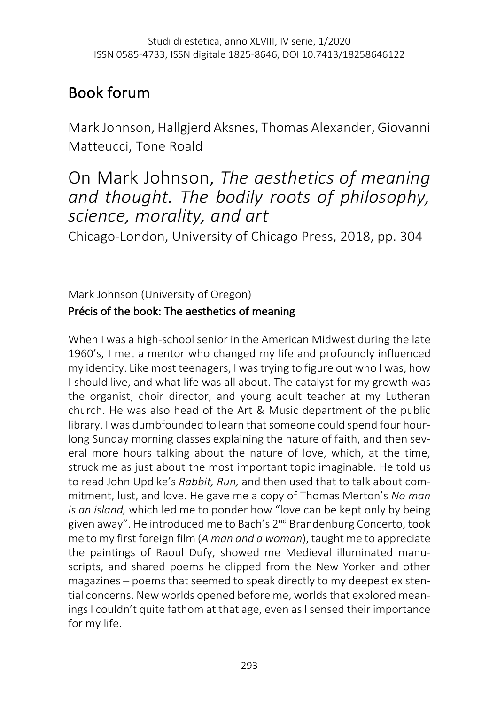# Book forum

Mark Johnson, Hallgjerd Aksnes, Thomas Alexander, Giovanni Matteucci, Tone Roald

## On Mark Johnson, *The aesthetics of meaning and thought. The bodily roots of philosophy, science, morality, and art*

Chicago-London, University of Chicago Press, 2018, pp. 304

Mark Johnson (University of Oregon) Précis of the book: The aesthetics of meaning

When I was a high-school senior in the American Midwest during the late 1960's, I met a mentor who changed my life and profoundly influenced my identity. Like most teenagers, I was trying to figure out who I was, how I should live, and what life was all about. The catalyst for my growth was the organist, choir director, and young adult teacher at my Lutheran church. He was also head of the Art & Music department of the public library. I was dumbfounded to learn that someone could spend four hourlong Sunday morning classes explaining the nature of faith, and then several more hours talking about the nature of love, which, at the time, struck me as just about the most important topic imaginable. He told us to read John Updike's *Rabbit, Run,* and then used that to talk about commitment, lust, and love. He gave me a copy of Thomas Merton's *No man is an island,* which led me to ponder how "love can be kept only by being given away". He introduced me to Bach's 2<sup>nd</sup> Brandenburg Concerto, took me to my first foreign film (*A man and a woman*), taught me to appreciate the paintings of Raoul Dufy, showed me Medieval illuminated manuscripts, and shared poems he clipped from the New Yorker and other magazines – poems that seemed to speak directly to my deepest existential concerns. New worlds opened before me, worlds that explored meanings I couldn't quite fathom at that age, even as I sensed their importance for my life.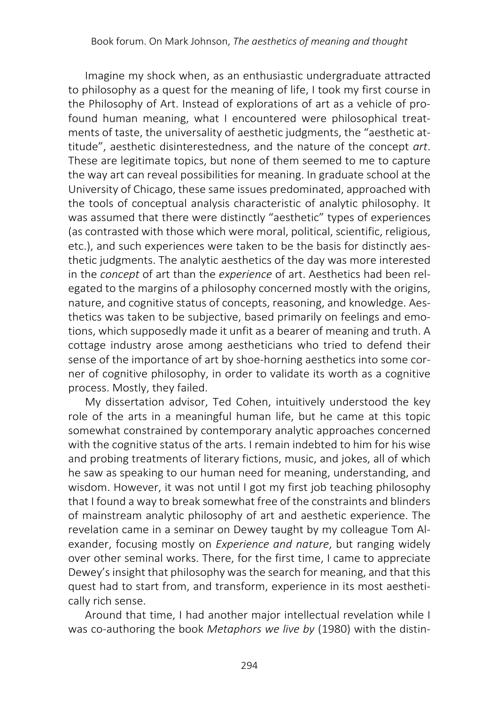Imagine my shock when, as an enthusiastic undergraduate attracted to philosophy as a quest for the meaning of life, I took my first course in the Philosophy of Art. Instead of explorations of art as a vehicle of profound human meaning, what I encountered were philosophical treatments of taste, the universality of aesthetic judgments, the "aesthetic attitude", aesthetic disinterestedness, and the nature of the concept *art*. These are legitimate topics, but none of them seemed to me to capture the way art can reveal possibilities for meaning. In graduate school at the University of Chicago, these same issues predominated, approached with the tools of conceptual analysis characteristic of analytic philosophy. It was assumed that there were distinctly "aesthetic" types of experiences (as contrasted with those which were moral, political, scientific, religious, etc.), and such experiences were taken to be the basis for distinctly aesthetic judgments. The analytic aesthetics of the day was more interested in the *concept* of art than the *experience* of art. Aesthetics had been relegated to the margins of a philosophy concerned mostly with the origins, nature, and cognitive status of concepts, reasoning, and knowledge. Aesthetics was taken to be subjective, based primarily on feelings and emotions, which supposedly made it unfit as a bearer of meaning and truth. A cottage industry arose among aestheticians who tried to defend their sense of the importance of art by shoe-horning aesthetics into some corner of cognitive philosophy, in order to validate its worth as a cognitive process. Mostly, they failed.

My dissertation advisor, Ted Cohen, intuitively understood the key role of the arts in a meaningful human life, but he came at this topic somewhat constrained by contemporary analytic approaches concerned with the cognitive status of the arts. I remain indebted to him for his wise and probing treatments of literary fictions, music, and jokes, all of which he saw as speaking to our human need for meaning, understanding, and wisdom. However, it was not until I got my first job teaching philosophy that I found a way to break somewhat free of the constraints and blinders of mainstream analytic philosophy of art and aesthetic experience. The revelation came in a seminar on Dewey taught by my colleague Tom Alexander, focusing mostly on *Experience and nature*, but ranging widely over other seminal works. There, for the first time, I came to appreciate Dewey's insight that philosophy was the search for meaning, and that this quest had to start from, and transform, experience in its most aesthetically rich sense.

Around that time, I had another major intellectual revelation while I was co-authoring the book *Metaphors we live by* (1980) with the distin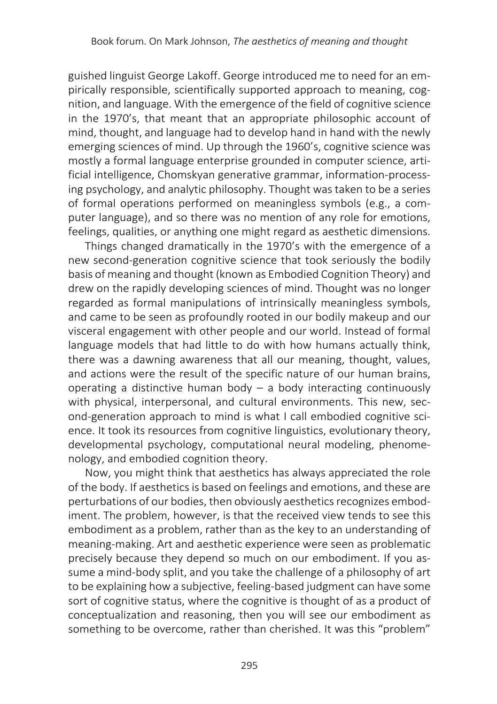guished linguist George Lakoff. George introduced me to need for an empirically responsible, scientifically supported approach to meaning, cognition, and language. With the emergence of the field of cognitive science in the 1970's, that meant that an appropriate philosophic account of mind, thought, and language had to develop hand in hand with the newly emerging sciences of mind. Up through the 1960's, cognitive science was mostly a formal language enterprise grounded in computer science, artificial intelligence, Chomskyan generative grammar, information-processing psychology, and analytic philosophy. Thought was taken to be a series of formal operations performed on meaningless symbols (e.g., a computer language), and so there was no mention of any role for emotions, feelings, qualities, or anything one might regard as aesthetic dimensions.

Things changed dramatically in the 1970's with the emergence of a new second-generation cognitive science that took seriously the bodily basis of meaning and thought (known as Embodied Cognition Theory) and drew on the rapidly developing sciences of mind. Thought was no longer regarded as formal manipulations of intrinsically meaningless symbols, and came to be seen as profoundly rooted in our bodily makeup and our visceral engagement with other people and our world. Instead of formal language models that had little to do with how humans actually think, there was a dawning awareness that all our meaning, thought, values, and actions were the result of the specific nature of our human brains, operating a distinctive human body – a body interacting continuously with physical, interpersonal, and cultural environments. This new, second-generation approach to mind is what I call embodied cognitive science. It took its resources from cognitive linguistics, evolutionary theory, developmental psychology, computational neural modeling, phenomenology, and embodied cognition theory.

Now, you might think that aesthetics has always appreciated the role of the body. If aesthetics is based on feelings and emotions, and these are perturbations of our bodies, then obviously aesthetics recognizes embodiment. The problem, however, is that the received view tends to see this embodiment as a problem, rather than as the key to an understanding of meaning-making. Art and aesthetic experience were seen as problematic precisely because they depend so much on our embodiment. If you assume a mind-body split, and you take the challenge of a philosophy of art to be explaining how a subjective, feeling-based judgment can have some sort of cognitive status, where the cognitive is thought of as a product of conceptualization and reasoning, then you will see our embodiment as something to be overcome, rather than cherished. It was this "problem"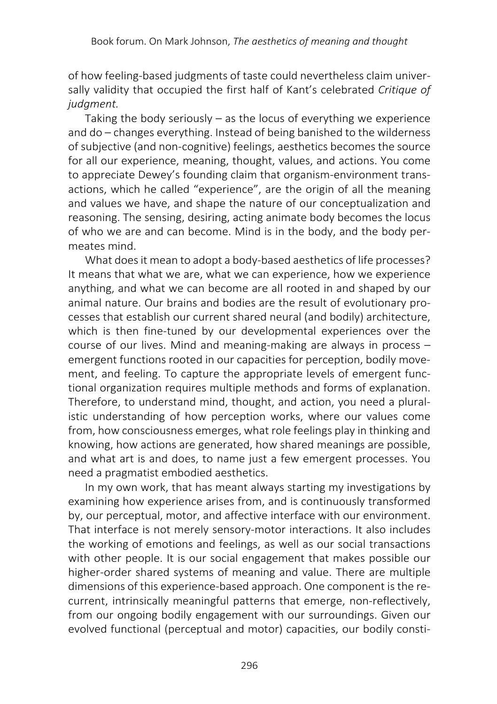of how feeling-based judgments of taste could nevertheless claim universally validity that occupied the first half of Kant's celebrated *Critique of judgment.*

Taking the body seriously – as the locus of everything we experience and do – changes everything. Instead of being banished to the wilderness of subjective (and non-cognitive) feelings, aesthetics becomes the source for all our experience, meaning, thought, values, and actions. You come to appreciate Dewey's founding claim that organism-environment transactions, which he called "experience", are the origin of all the meaning and values we have, and shape the nature of our conceptualization and reasoning. The sensing, desiring, acting animate body becomes the locus of who we are and can become. Mind is in the body, and the body permeates mind.

What does it mean to adopt a body-based aesthetics of life processes? It means that what we are, what we can experience, how we experience anything, and what we can become are all rooted in and shaped by our animal nature. Our brains and bodies are the result of evolutionary processes that establish our current shared neural (and bodily) architecture, which is then fine-tuned by our developmental experiences over the course of our lives. Mind and meaning-making are always in process – emergent functions rooted in our capacities for perception, bodily movement, and feeling. To capture the appropriate levels of emergent functional organization requires multiple methods and forms of explanation. Therefore, to understand mind, thought, and action, you need a pluralistic understanding of how perception works, where our values come from, how consciousness emerges, what role feelings play in thinking and knowing, how actions are generated, how shared meanings are possible, and what art is and does, to name just a few emergent processes. You need a pragmatist embodied aesthetics.

In my own work, that has meant always starting my investigations by examining how experience arises from, and is continuously transformed by, our perceptual, motor, and affective interface with our environment. That interface is not merely sensory-motor interactions. It also includes the working of emotions and feelings, as well as our social transactions with other people. It is our social engagement that makes possible our higher-order shared systems of meaning and value. There are multiple dimensions of this experience-based approach. One component is the recurrent, intrinsically meaningful patterns that emerge, non-reflectively, from our ongoing bodily engagement with our surroundings. Given our evolved functional (perceptual and motor) capacities, our bodily consti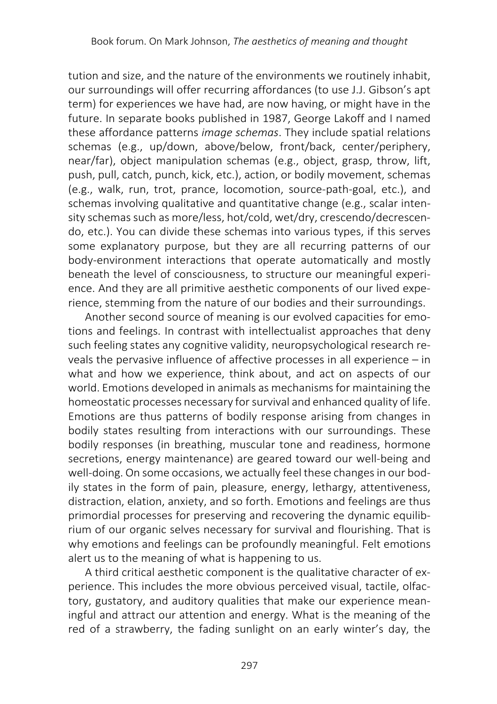tution and size, and the nature of the environments we routinely inhabit, our surroundings will offer recurring affordances (to use J.J. Gibson's apt term) for experiences we have had, are now having, or might have in the future. In separate books published in 1987, George Lakoff and I named these affordance patterns *image schemas*. They include spatial relations schemas (e.g., up/down, above/below, front/back, center/periphery, near/far), object manipulation schemas (e.g., object, grasp, throw, lift, push, pull, catch, punch, kick, etc.), action, or bodily movement, schemas (e.g., walk, run, trot, prance, locomotion, source-path-goal, etc.), and schemas involving qualitative and quantitative change (e.g., scalar intensity schemas such as more/less, hot/cold, wet/dry, crescendo/decrescendo, etc.). You can divide these schemas into various types, if this serves some explanatory purpose, but they are all recurring patterns of our body-environment interactions that operate automatically and mostly beneath the level of consciousness, to structure our meaningful experience. And they are all primitive aesthetic components of our lived experience, stemming from the nature of our bodies and their surroundings.

Another second source of meaning is our evolved capacities for emotions and feelings. In contrast with intellectualist approaches that deny such feeling states any cognitive validity, neuropsychological research reveals the pervasive influence of affective processes in all experience – in what and how we experience, think about, and act on aspects of our world. Emotions developed in animals as mechanisms for maintaining the homeostatic processes necessary for survival and enhanced quality of life. Emotions are thus patterns of bodily response arising from changes in bodily states resulting from interactions with our surroundings. These bodily responses (in breathing, muscular tone and readiness, hormone secretions, energy maintenance) are geared toward our well-being and well-doing. On some occasions, we actually feel these changes in our bodily states in the form of pain, pleasure, energy, lethargy, attentiveness, distraction, elation, anxiety, and so forth. Emotions and feelings are thus primordial processes for preserving and recovering the dynamic equilibrium of our organic selves necessary for survival and flourishing. That is why emotions and feelings can be profoundly meaningful. Felt emotions alert us to the meaning of what is happening to us.

A third critical aesthetic component is the qualitative character of experience. This includes the more obvious perceived visual, tactile, olfactory, gustatory, and auditory qualities that make our experience meaningful and attract our attention and energy. What is the meaning of the red of a strawberry, the fading sunlight on an early winter's day, the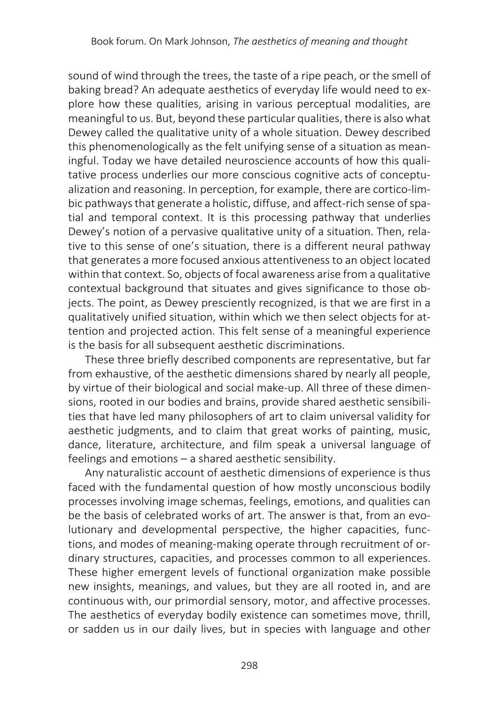sound of wind through the trees, the taste of a ripe peach, or the smell of baking bread? An adequate aesthetics of everyday life would need to explore how these qualities, arising in various perceptual modalities, are meaningful to us. But, beyond these particular qualities, there is also what Dewey called the qualitative unity of a whole situation. Dewey described this phenomenologically as the felt unifying sense of a situation as meaningful. Today we have detailed neuroscience accounts of how this qualitative process underlies our more conscious cognitive acts of conceptualization and reasoning. In perception, for example, there are cortico-limbic pathways that generate a holistic, diffuse, and affect-rich sense of spatial and temporal context. It is this processing pathway that underlies Dewey's notion of a pervasive qualitative unity of a situation. Then, relative to this sense of one's situation, there is a different neural pathway that generates a more focused anxious attentiveness to an object located within that context. So, objects of focal awareness arise from a qualitative contextual background that situates and gives significance to those objects. The point, as Dewey presciently recognized, is that we are first in a qualitatively unified situation, within which we then select objects for attention and projected action. This felt sense of a meaningful experience is the basis for all subsequent aesthetic discriminations.

These three briefly described components are representative, but far from exhaustive, of the aesthetic dimensions shared by nearly all people, by virtue of their biological and social make-up. All three of these dimensions, rooted in our bodies and brains, provide shared aesthetic sensibilities that have led many philosophers of art to claim universal validity for aesthetic judgments, and to claim that great works of painting, music, dance, literature, architecture, and film speak a universal language of feelings and emotions – a shared aesthetic sensibility.

Any naturalistic account of aesthetic dimensions of experience is thus faced with the fundamental question of how mostly unconscious bodily processes involving image schemas, feelings, emotions, and qualities can be the basis of celebrated works of art. The answer is that, from an evolutionary and developmental perspective, the higher capacities, functions, and modes of meaning-making operate through recruitment of ordinary structures, capacities, and processes common to all experiences. These higher emergent levels of functional organization make possible new insights, meanings, and values, but they are all rooted in, and are continuous with, our primordial sensory, motor, and affective processes. The aesthetics of everyday bodily existence can sometimes move, thrill, or sadden us in our daily lives, but in species with language and other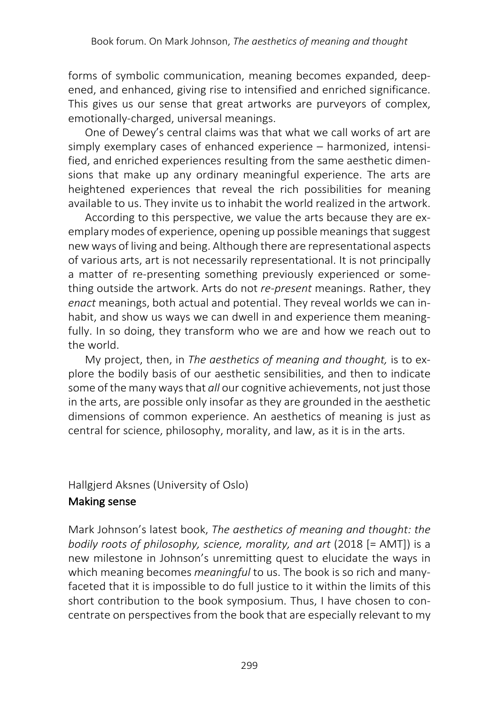forms of symbolic communication, meaning becomes expanded, deepened, and enhanced, giving rise to intensified and enriched significance. This gives us our sense that great artworks are purveyors of complex, emotionally-charged, universal meanings.

One of Dewey's central claims was that what we call works of art are simply exemplary cases of enhanced experience – harmonized, intensified, and enriched experiences resulting from the same aesthetic dimensions that make up any ordinary meaningful experience. The arts are heightened experiences that reveal the rich possibilities for meaning available to us. They invite us to inhabit the world realized in the artwork.

According to this perspective, we value the arts because they are exemplary modes of experience, opening up possible meanings that suggest new ways of living and being. Although there are representational aspects of various arts, art is not necessarily representational. It is not principally a matter of re-presenting something previously experienced or something outside the artwork. Arts do not *re-present* meanings. Rather, they *enact* meanings, both actual and potential. They reveal worlds we can inhabit, and show us ways we can dwell in and experience them meaningfully. In so doing, they transform who we are and how we reach out to the world.

My project, then, in *The aesthetics of meaning and thought,* is to explore the bodily basis of our aesthetic sensibilities, and then to indicate some of the many ways that *all* our cognitive achievements, not just those in the arts, are possible only insofar as they are grounded in the aesthetic dimensions of common experience. An aesthetics of meaning is just as central for science, philosophy, morality, and law, as it is in the arts.

## Hallgjerd Aksnes (University of Oslo)

## Making sense

Mark Johnson's latest book, *The aesthetics of meaning and thought: the bodily roots of philosophy, science, morality, and art* (2018 [= AMT]) is a new milestone in Johnson's unremitting quest to elucidate the ways in which meaning becomes *meaningful* to us. The book is so rich and manyfaceted that it is impossible to do full justice to it within the limits of this short contribution to the book symposium. Thus, I have chosen to concentrate on perspectives from the book that are especially relevant to my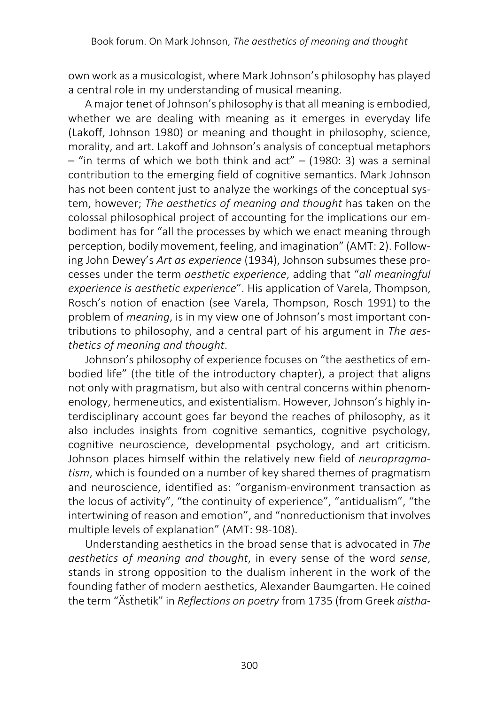own work as a musicologist, where Mark Johnson's philosophy has played a central role in my understanding of musical meaning.

A major tenet of Johnson's philosophy is that all meaning is embodied, whether we are dealing with meaning as it emerges in everyday life (Lakoff, Johnson 1980) or meaning and thought in philosophy, science, morality, and art. Lakoff and Johnson's analysis of conceptual metaphors  $-$  "in terms of which we both think and act"  $-$  (1980: 3) was a seminal contribution to the emerging field of cognitive semantics. Mark Johnson has not been content just to analyze the workings of the conceptual system, however; *The aesthetics of meaning and thought* has taken on the colossal philosophical project of accounting for the implications our embodiment has for "all the processes by which we enact meaning through perception, bodily movement, feeling, and imagination" (AMT: 2). Following John Dewey's *Art as experience* (1934), Johnson subsumes these processes under the term *aesthetic experience*, adding that "*all meaningful experience is aesthetic experience*". His application of Varela, Thompson, Rosch's notion of enaction (see Varela, Thompson, Rosch 1991) to the problem of *meaning*, is in my view one of Johnson's most important contributions to philosophy, and a central part of his argument in *The aesthetics of meaning and thought*.

Johnson's philosophy of experience focuses on "the aesthetics of embodied life" (the title of the introductory chapter), a project that aligns not only with pragmatism, but also with central concerns within phenomenology, hermeneutics, and existentialism. However, Johnson's highly interdisciplinary account goes far beyond the reaches of philosophy, as it also includes insights from cognitive semantics, cognitive psychology, cognitive neuroscience, developmental psychology, and art criticism. Johnson places himself within the relatively new field of *neuropragmatism*, which is founded on a number of key shared themes of pragmatism and neuroscience, identified as: "organism-environment transaction as the locus of activity", "the continuity of experience", "antidualism", "the intertwining of reason and emotion", and "nonreductionism that involves multiple levels of explanation" (AMT: 98-108).

Understanding aesthetics in the broad sense that is advocated in *The aesthetics of meaning and thought*, in every sense of the word *sense*, stands in strong opposition to the dualism inherent in the work of the founding father of modern aesthetics, Alexander Baumgarten. He coined the term "Ästhetik" in *Reflections on poetry* from 1735 (from Greek *aistha-*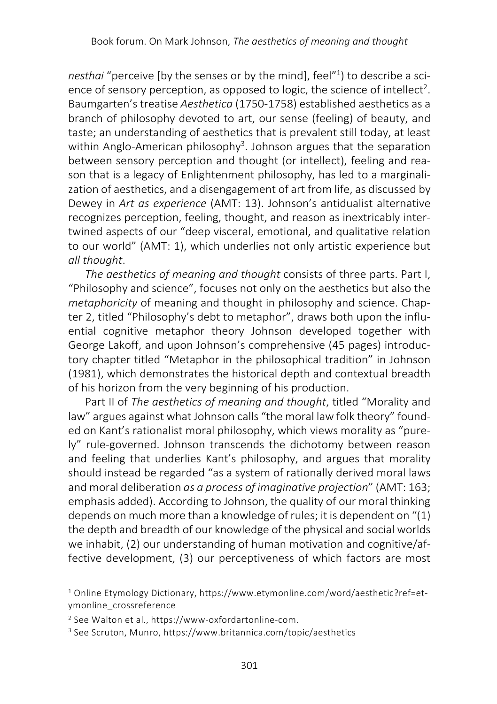*nesthai* "perceive [by the senses or by the mind], feel"1 ) to describe a science of sensory perception, as opposed to logic, the science of intellect<sup>2</sup>. Baumgarten's treatise *Aesthetica* (1750-1758) established aesthetics as a branch of philosophy devoted to art, our sense (feeling) of beauty, and taste; an understanding of aesthetics that is prevalent still today, at least within Anglo-American philosophy<sup>3</sup>. Johnson argues that the separation between sensory perception and thought (or intellect), feeling and reason that is a legacy of Enlightenment philosophy, has led to a marginalization of aesthetics, and a disengagement of art from life, as discussed by Dewey in *Art as experience* (AMT: 13). Johnson's antidualist alternative recognizes perception, feeling, thought, and reason as inextricably intertwined aspects of our "deep visceral, emotional, and qualitative relation to our world" (AMT: 1), which underlies not only artistic experience but *all thought*.

*The aesthetics of meaning and thought* consists of three parts. Part I, "Philosophy and science", focuses not only on the aesthetics but also the *metaphoricity* of meaning and thought in philosophy and science. Chapter 2, titled "Philosophy's debt to metaphor", draws both upon the influential cognitive metaphor theory Johnson developed together with George Lakoff, and upon Johnson's comprehensive (45 pages) introductory chapter titled "Metaphor in the philosophical tradition" in Johnson (1981), which demonstrates the historical depth and contextual breadth of his horizon from the very beginning of his production.

Part II of *The aesthetics of meaning and thought*, titled "Morality and law" argues against what Johnson calls "the moral law folk theory" founded on Kant's rationalist moral philosophy, which views morality as "purely" rule-governed. Johnson transcends the dichotomy between reason and feeling that underlies Kant's philosophy, and argues that morality should instead be regarded "as a system of rationally derived moral laws and moral deliberation *as a process of imaginative projection*" (AMT: 163; emphasis added). According to Johnson, the quality of our moral thinking depends on much more than a knowledge of rules; it is dependent on "(1) the depth and breadth of our knowledge of the physical and social worlds we inhabit, (2) our understanding of human motivation and cognitive/affective development, (3) our perceptiveness of which factors are most

<sup>1</sup> Online Etymology Dictionary, https://www.etymonline.com/word/aesthetic?ref=etymonline\_crossreference

<sup>2</sup> See Walton et al., https://www-oxfordartonline-com.

<sup>3</sup> See Scruton, Munro, https://www.britannica.com/topic/aesthetics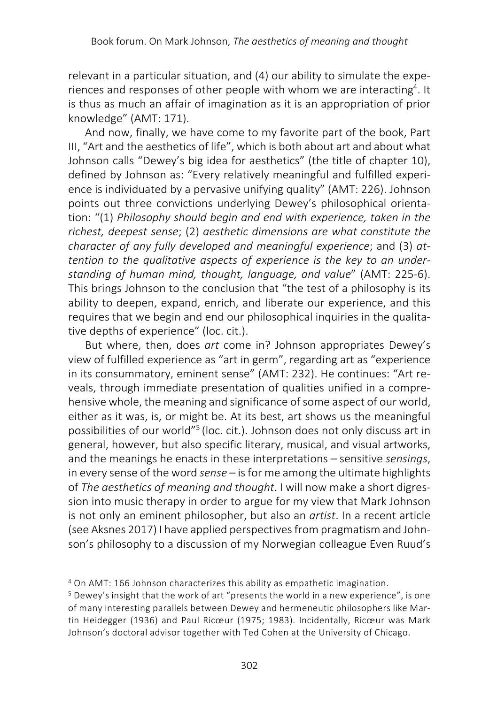relevant in a particular situation, and (4) our ability to simulate the experiences and responses of other people with whom we are interacting<sup>4</sup>. It is thus as much an affair of imagination as it is an appropriation of prior knowledge" (AMT: 171).

And now, finally, we have come to my favorite part of the book, Part III, "Art and the aesthetics of life", which is both about art and about what Johnson calls "Dewey's big idea for aesthetics" (the title of chapter 10), defined by Johnson as: "Every relatively meaningful and fulfilled experience is individuated by a pervasive unifying quality" (AMT: 226). Johnson points out three convictions underlying Dewey's philosophical orientation: "(1) *Philosophy should begin and end with experience, taken in the richest, deepest sense*; (2) *aesthetic dimensions are what constitute the character of any fully developed and meaningful experience*; and (3) *attention to the qualitative aspects of experience is the key to an understanding of human mind, thought, language, and value*" (AMT: 225-6). This brings Johnson to the conclusion that "the test of a philosophy is its ability to deepen, expand, enrich, and liberate our experience, and this requires that we begin and end our philosophical inquiries in the qualitative depths of experience" (loc. cit.).

But where, then, does *art* come in? Johnson appropriates Dewey's view of fulfilled experience as "art in germ", regarding art as "experience in its consummatory, eminent sense" (AMT: 232). He continues: "Art reveals, through immediate presentation of qualities unified in a comprehensive whole, the meaning and significance of some aspect of our world, either as it was, is, or might be. At its best, art shows us the meaningful possibilities of our world"5 (loc. cit.). Johnson does not only discuss art in general, however, but also specific literary, musical, and visual artworks, and the meanings he enacts in these interpretations – sensitive *sensings*, in every sense of the word *sense* – is for me among the ultimate highlights of *The aesthetics of meaning and thought*. I will now make a short digression into music therapy in order to argue for my view that Mark Johnson is not only an eminent philosopher, but also an *artist*. In a recent article (see Aksnes 2017) I have applied perspectives from pragmatism and Johnson's philosophy to a discussion of my Norwegian colleague Even Ruud's

<sup>4</sup> On AMT: 166 Johnson characterizes this ability as empathetic imagination.

<sup>5</sup> Dewey's insight that the work of art "presents the world in a new experience", is one of many interesting parallels between Dewey and hermeneutic philosophers like Martin Heidegger (1936) and Paul Ricœur (1975; 1983). Incidentally, Ricœur was Mark Johnson's doctoral advisor together with Ted Cohen at the University of Chicago.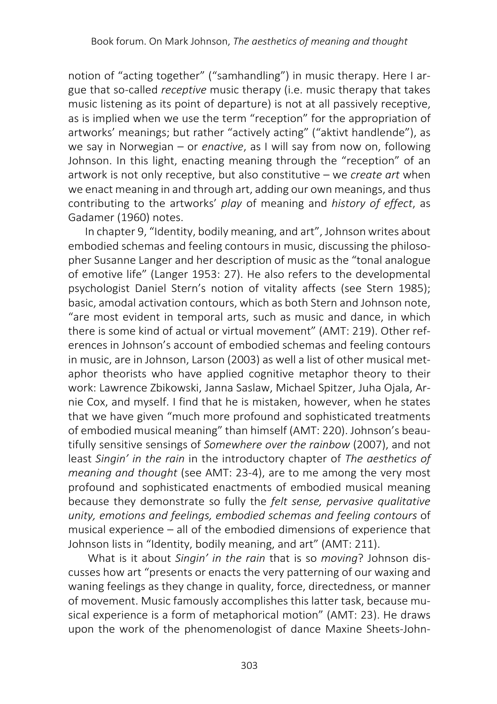notion of "acting together" ("samhandling") in music therapy. Here I argue that so-called *receptive* music therapy (i.e. music therapy that takes music listening as its point of departure) is not at all passively receptive, as is implied when we use the term "reception" for the appropriation of artworks' meanings; but rather "actively acting" ("aktivt handlende"), as we say in Norwegian – or *enactive*, as I will say from now on, following Johnson. In this light, enacting meaning through the "reception" of an artwork is not only receptive, but also constitutive – we *create art* when we enact meaning in and through art, adding our own meanings, and thus contributing to the artworks' *play* of meaning and *history of effect*, as Gadamer (1960) notes.

In chapter 9, "Identity, bodily meaning, and art", Johnson writes about embodied schemas and feeling contours in music, discussing the philosopher Susanne Langer and her description of music as the "tonal analogue of emotive life" (Langer 1953: 27). He also refers to the developmental psychologist Daniel Stern's notion of vitality affects (see Stern 1985); basic, amodal activation contours, which as both Stern and Johnson note, "are most evident in temporal arts, such as music and dance, in which there is some kind of actual or virtual movement" (AMT: 219). Other references in Johnson's account of embodied schemas and feeling contours in music, are in Johnson, Larson (2003) as well a list of other musical metaphor theorists who have applied cognitive metaphor theory to their work: Lawrence Zbikowski, Janna Saslaw, Michael Spitzer, Juha Ojala, Arnie Cox, and myself. I find that he is mistaken, however, when he states that we have given "much more profound and sophisticated treatments of embodied musical meaning" than himself (AMT: 220). Johnson's beautifully sensitive sensings of *Somewhere over the rainbow* (2007), and not least *Singin' in the rain* in the introductory chapter of *The aesthetics of meaning and thought* (see AMT: 23-4), are to me among the very most profound and sophisticated enactments of embodied musical meaning because they demonstrate so fully the *felt sense, pervasive qualitative unity, emotions and feelings, embodied schemas and feeling contours* of musical experience – all of the embodied dimensions of experience that Johnson lists in "Identity, bodily meaning, and art" (AMT: 211).

What is it about *Singin' in the rain* that is so *moving*? Johnson discusses how art "presents or enacts the very patterning of our waxing and waning feelings as they change in quality, force, directedness, or manner of movement. Music famously accomplishes this latter task, because musical experience is a form of metaphorical motion" (AMT: 23). He draws upon the work of the phenomenologist of dance Maxine Sheets-John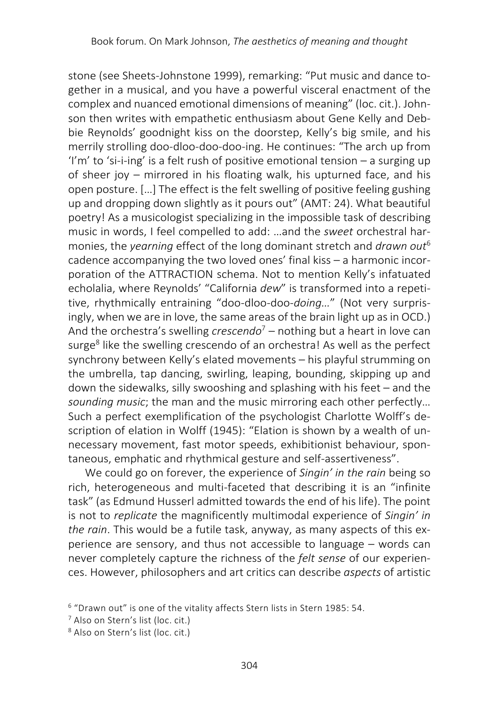stone (see Sheets-Johnstone 1999), remarking: "Put music and dance together in a musical, and you have a powerful visceral enactment of the complex and nuanced emotional dimensions of meaning" (loc. cit.). Johnson then writes with empathetic enthusiasm about Gene Kelly and Debbie Reynolds' goodnight kiss on the doorstep, Kelly's big smile, and his merrily strolling doo-dloo-doo-doo-ing. He continues: "The arch up from 'I'm' to 'si-i-ing' is a felt rush of positive emotional tension – a surging up of sheer joy – mirrored in his floating walk, his upturned face, and his open posture. […] The effect is the felt swelling of positive feeling gushing up and dropping down slightly as it pours out" (AMT: 24). What beautiful poetry! As a musicologist specializing in the impossible task of describing music in words, I feel compelled to add: …and the *sweet* orchestral harmonies, the *yearning* effect of the long dominant stretch and *drawn out*<sup>6</sup> cadence accompanying the two loved ones' final kiss – a harmonic incorporation of the ATTRACTION schema. Not to mention Kelly's infatuated echolalia, where Reynolds' "California *dew*" is transformed into a repetitive, rhythmically entraining "doo-dloo-doo-*doing…*" (Not very surprisingly, when we are in love, the same areas of the brain light up as in OCD.) And the orchestra's swelling *crescendo*<sup>7</sup> – nothing but a heart in love can surge<sup>8</sup> like the swelling crescendo of an orchestra! As well as the perfect synchrony between Kelly's elated movements – his playful strumming on the umbrella, tap dancing, swirling, leaping, bounding, skipping up and down the sidewalks, silly swooshing and splashing with his feet – and the *sounding music*; the man and the music mirroring each other perfectly… Such a perfect exemplification of the psychologist Charlotte Wolff's description of elation in Wolff (1945): "Elation is shown by a wealth of unnecessary movement, fast motor speeds, exhibitionist behaviour, spontaneous, emphatic and rhythmical gesture and self-assertiveness".

We could go on forever, the experience of *Singin' in the rain* being so rich, heterogeneous and multi-faceted that describing it is an "infinite task" (as Edmund Husserl admitted towards the end of his life). The point is not to *replicate* the magnificently multimodal experience of *Singin' in the rain*. This would be a futile task, anyway, as many aspects of this experience are sensory, and thus not accessible to language – words can never completely capture the richness of the *felt sense* of our experiences. However, philosophers and art critics can describe *aspects* of artistic

<sup>6</sup> "Drawn out" is one of the vitality affects Stern lists in Stern 1985: 54.

<sup>7</sup> Also on Stern's list (loc. cit.)

<sup>8</sup> Also on Stern's list (loc. cit.)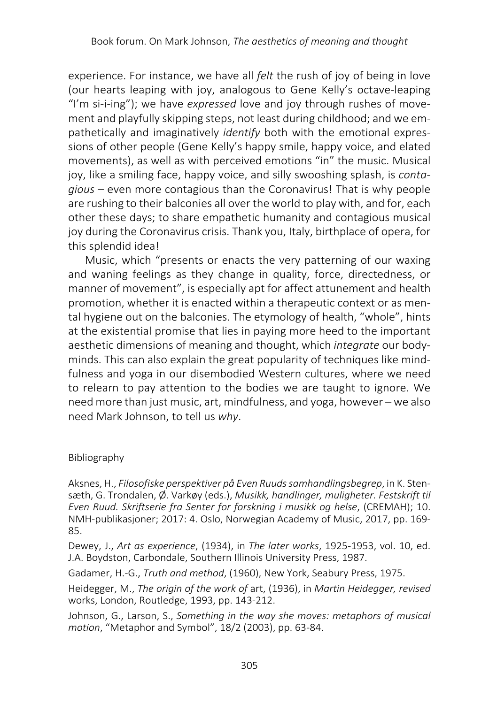experience. For instance, we have all *felt* the rush of joy of being in love (our hearts leaping with joy, analogous to Gene Kelly's octave-leaping "I'm si-i-ing"); we have *expressed* love and joy through rushes of movement and playfully skipping steps, not least during childhood; and we empathetically and imaginatively *identify* both with the emotional expressions of other people (Gene Kelly's happy smile, happy voice, and elated movements), as well as with perceived emotions "in" the music. Musical joy, like a smiling face, happy voice, and silly swooshing splash, is *contagious* – even more contagious than the Coronavirus! That is why people are rushing to their balconies all over the world to play with, and for, each other these days; to share empathetic humanity and contagious musical joy during the Coronavirus crisis. Thank you, Italy, birthplace of opera, for this splendid idea!

Music, which "presents or enacts the very patterning of our waxing and waning feelings as they change in quality, force, directedness, or manner of movement", is especially apt for affect attunement and health promotion, whether it is enacted within a therapeutic context or as mental hygiene out on the balconies. The etymology of health, "whole", hints at the existential promise that lies in paying more heed to the important aesthetic dimensions of meaning and thought, which *integrate* our bodyminds. This can also explain the great popularity of techniques like mindfulness and yoga in our disembodied Western cultures, where we need to relearn to pay attention to the bodies we are taught to ignore. We need more than just music, art, mindfulness, and yoga, however – we also need Mark Johnson, to tell us *why*.

#### Bibliography

Aksnes, H., *Filosofiske perspektiver på Even Ruuds samhandlingsbegrep*, in K. Stensæth, G. Trondalen, Ø. Varkøy (eds.), *Musikk, handlinger, muligheter. Festskrift til Even Ruud. Skriftserie fra Senter for forskning i musikk og helse*, (CREMAH); 10. NMH-publikasjoner; 2017: 4. Oslo, Norwegian Academy of Music, 2017, pp. 169- 85.

Dewey, J., *Art as experience*, (1934), in *The later works*, 1925-1953, vol. 10, ed. J.A. Boydston, Carbondale, Southern Illinois University Press, 1987.

Gadamer, H.-G., *Truth and method*, (1960), New York, Seabury Press, 1975.

Heidegger, M., *The origin of the work of* art, (1936), in *Martin Heidegger, revised*  works, London, Routledge, 1993, pp. 143-212.

Johnson, G., Larson, S., *Something in the way she moves: metaphors of musical motion*, "Metaphor and Symbol", 18/2 (2003), pp. 63-84.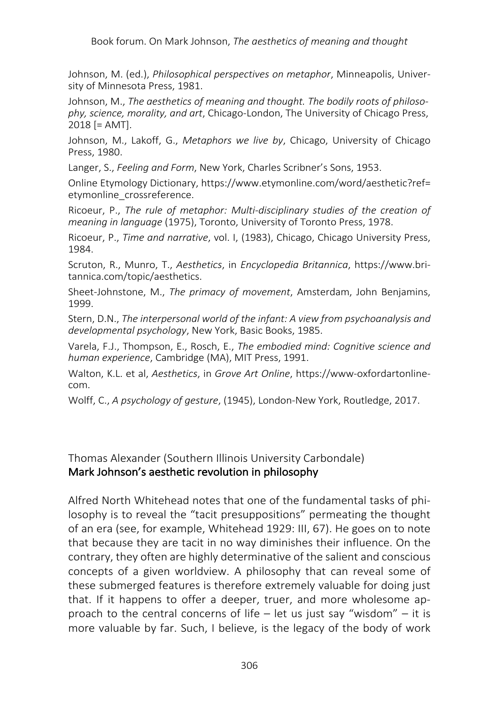Johnson, M. (ed.), *Philosophical perspectives on metaphor*, Minneapolis, University of Minnesota Press, 1981.

Johnson, M., *The aesthetics of meaning and thought. The bodily roots of philosophy, science, morality, and art*, Chicago-London, The University of Chicago Press, 2018 [= AMT].

Johnson, M., Lakoff, G., *Metaphors we live by*, Chicago, University of Chicago Press, 1980.

Langer, S., *Feeling and Form*, New York, Charles Scribner's Sons, 1953.

Online Etymology Dictionary, https://www.etymonline.com/word/aesthetic?ref= etymonline\_crossreference.

Ricoeur, P., *The rule of metaphor: Multi-disciplinary studies of the creation of meaning in language* (1975), Toronto, University of Toronto Press, 1978.

Ricoeur, P., *Time and narrative*, vol. I, (1983), Chicago, Chicago University Press, 1984.

Scruton, R., Munro, T., *Aesthetics*, in *Encyclopedia Britannica*, https://www.britannica.com/topic/aesthetics.

Sheet-Johnstone, M., *The primacy of movement*, Amsterdam, John Benjamins, 1999.

Stern, D.N., *The interpersonal world of the infant: A view from psychoanalysis and developmental psychology*, New York, Basic Books, 1985.

Varela, F.J., Thompson, E., Rosch, E., *The embodied mind: Cognitive science and human experience*, Cambridge (MA), MIT Press, 1991.

Walton, K.L. et al, *Aesthetics*, in *Grove Art Online*, https://www-oxfordartonlinecom.

Wolff, C., *A psychology of gesture*, (1945), London-New York, Routledge, 2017.

Thomas Alexander (Southern Illinois University Carbondale) Mark Johnson's aesthetic revolution in philosophy

Alfred North Whitehead notes that one of the fundamental tasks of philosophy is to reveal the "tacit presuppositions" permeating the thought of an era (see, for example, Whitehead 1929: III, 67). He goes on to note that because they are tacit in no way diminishes their influence. On the contrary, they often are highly determinative of the salient and conscious concepts of a given worldview. A philosophy that can reveal some of these submerged features is therefore extremely valuable for doing just that. If it happens to offer a deeper, truer, and more wholesome approach to the central concerns of life  $-$  let us just say "wisdom"  $-$  it is more valuable by far. Such, I believe, is the legacy of the body of work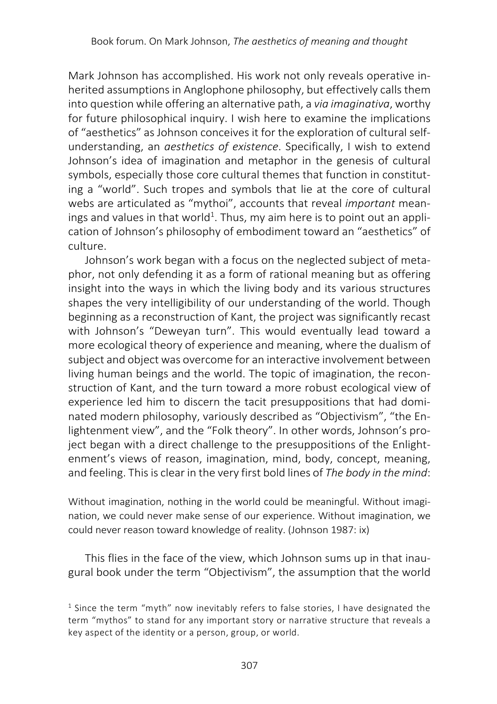Mark Johnson has accomplished. His work not only reveals operative inherited assumptions in Anglophone philosophy, but effectively calls them into question while offering an alternative path, a *via imaginativa*, worthy for future philosophical inquiry. I wish here to examine the implications of "aesthetics" as Johnson conceives it for the exploration of cultural selfunderstanding, an *aesthetics of existence*. Specifically, I wish to extend Johnson's idea of imagination and metaphor in the genesis of cultural symbols, especially those core cultural themes that function in constituting a "world". Such tropes and symbols that lie at the core of cultural webs are articulated as "mythoi", accounts that reveal *important* meanings and values in that world<sup>1</sup>. Thus, my aim here is to point out an application of Johnson's philosophy of embodiment toward an "aesthetics" of culture.

Johnson's work began with a focus on the neglected subject of metaphor, not only defending it as a form of rational meaning but as offering insight into the ways in which the living body and its various structures shapes the very intelligibility of our understanding of the world. Though beginning as a reconstruction of Kant, the project was significantly recast with Johnson's "Deweyan turn". This would eventually lead toward a more ecological theory of experience and meaning, where the dualism of subject and object was overcome for an interactive involvement between living human beings and the world. The topic of imagination, the reconstruction of Kant, and the turn toward a more robust ecological view of experience led him to discern the tacit presuppositions that had dominated modern philosophy, variously described as "Objectivism", "the Enlightenment view", and the "Folk theory". In other words, Johnson's project began with a direct challenge to the presuppositions of the Enlightenment's views of reason, imagination, mind, body, concept, meaning, and feeling. This is clear in the very first bold lines of *The body in the mind*:

Without imagination, nothing in the world could be meaningful. Without imagination, we could never make sense of our experience. Without imagination, we could never reason toward knowledge of reality. (Johnson 1987: ix)

This flies in the face of the view, which Johnson sums up in that inaugural book under the term "Objectivism", the assumption that the world

<sup>&</sup>lt;sup>1</sup> Since the term "myth" now inevitably refers to false stories, I have designated the term "mythos" to stand for any important story or narrative structure that reveals a key aspect of the identity or a person, group, or world.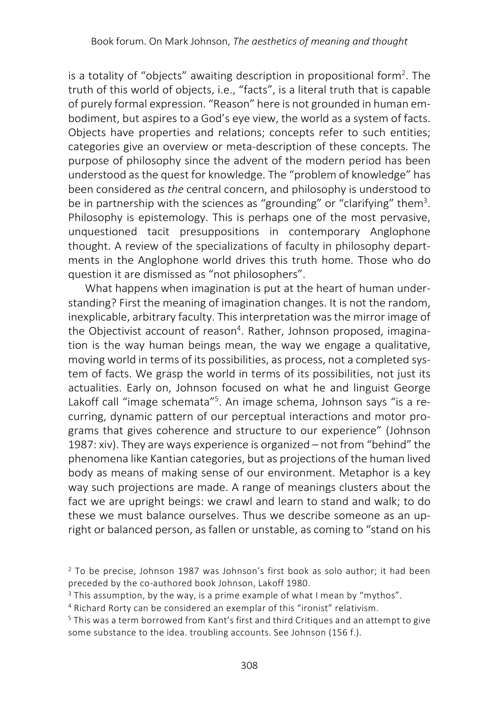is a totality of "objects" awaiting description in propositional form<sup>2</sup>. The truth of this world of objects, i.e., "facts", is a literal truth that is capable of purely formal expression. "Reason" here is not grounded in human embodiment, but aspires to a God's eye view, the world as a system of facts. Objects have properties and relations; concepts refer to such entities; categories give an overview or meta-description of these concepts. The purpose of philosophy since the advent of the modern period has been understood as the quest for knowledge. The "problem of knowledge" has been considered as *the* central concern, and philosophy is understood to be in partnership with the sciences as "grounding" or "clarifying" them<sup>3</sup>. Philosophy is epistemology. This is perhaps one of the most pervasive, unquestioned tacit presuppositions in contemporary Anglophone thought. A review of the specializations of faculty in philosophy departments in the Anglophone world drives this truth home. Those who do question it are dismissed as "not philosophers".

What happens when imagination is put at the heart of human understanding? First the meaning of imagination changes. It is not the random, inexplicable, arbitrary faculty. This interpretation was the mirror image of the Objectivist account of reason<sup>4</sup>. Rather, Johnson proposed, imagination is the way human beings mean, the way we engage a qualitative, moving world in terms of its possibilities, as process, not a completed system of facts. We grasp the world in terms of its possibilities, not just its actualities. Early on, Johnson focused on what he and linguist George Lakoff call "image schemata"<sup>5</sup>. An image schema, Johnson says "is a recurring, dynamic pattern of our perceptual interactions and motor programs that gives coherence and structure to our experience" (Johnson 1987: xiv). They are ways experience is organized – not from "behind" the phenomena like Kantian categories, but as projections of the human lived body as means of making sense of our environment. Metaphor is a key way such projections are made. A range of meanings clusters about the fact we are upright beings: we crawl and learn to stand and walk; to do these we must balance ourselves. Thus we describe someone as an upright or balanced person, as fallen or unstable, as coming to "stand on his

<sup>2</sup> To be precise, Johnson 1987 was Johnson's first book as solo author; it had been preceded by the co-authored book Johnson, Lakoff 1980.

<sup>&</sup>lt;sup>3</sup> This assumption, by the way, is a prime example of what I mean by "mythos".

<sup>4</sup> Richard Rorty can be considered an exemplar of this "ironist" relativism.

<sup>5</sup> This was a term borrowed from Kant's first and third Critiques and an attempt to give some substance to the idea. troubling accounts. See Johnson (156 f.).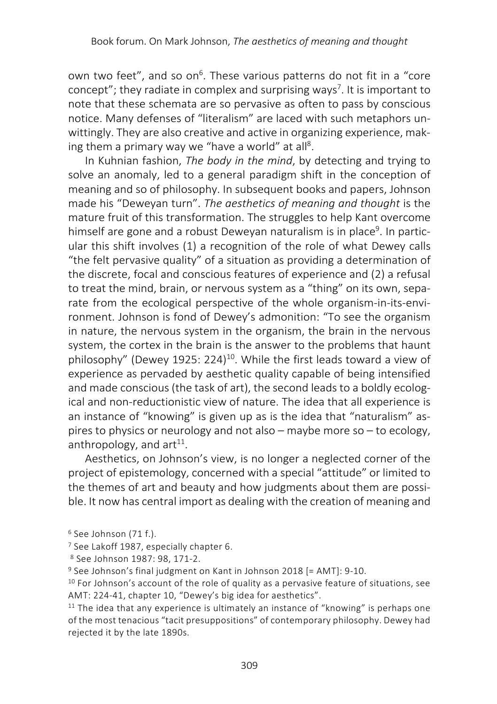own two feet", and so on<sup>6</sup>. These various patterns do not fit in a "core concept"; they radiate in complex and surprising ways<sup>7</sup>. It is important to note that these schemata are so pervasive as often to pass by conscious notice. Many defenses of "literalism" are laced with such metaphors unwittingly. They are also creative and active in organizing experience, making them a primary way we "have a world" at all<sup>8</sup>.

In Kuhnian fashion, *The body in the mind*, by detecting and trying to solve an anomaly, led to a general paradigm shift in the conception of meaning and so of philosophy. In subsequent books and papers, Johnson made his "Deweyan turn". *The aesthetics of meaning and thought* is the mature fruit of this transformation. The struggles to help Kant overcome himself are gone and a robust Deweyan naturalism is in place<sup>9</sup>. In particular this shift involves (1) a recognition of the role of what Dewey calls "the felt pervasive quality" of a situation as providing a determination of the discrete, focal and conscious features of experience and (2) a refusal to treat the mind, brain, or nervous system as a "thing" on its own, separate from the ecological perspective of the whole organism-in-its-environment. Johnson is fond of Dewey's admonition: "To see the organism in nature, the nervous system in the organism, the brain in the nervous system, the cortex in the brain is the answer to the problems that haunt philosophy" (Dewey 1925: 224)<sup>10</sup>. While the first leads toward a view of experience as pervaded by aesthetic quality capable of being intensified and made conscious (the task of art), the second leads to a boldly ecological and non-reductionistic view of nature. The idea that all experience is an instance of "knowing" is given up as is the idea that "naturalism" aspires to physics or neurology and not also – maybe more so – to ecology, anthropology, and  $art^{11}$ .

Aesthetics, on Johnson's view, is no longer a neglected corner of the project of epistemology, concerned with a special "attitude" or limited to the themes of art and beauty and how judgments about them are possible. It now has central import as dealing with the creation of meaning and

<sup>6</sup> See Johnson (71 f.).

<sup>7</sup> See Lakoff 1987, especially chapter 6.

<sup>8</sup> See Johnson 1987: 98, 171-2.

<sup>9</sup> See Johnson's final judgment on Kant in Johnson 2018 [= AMT]: 9-10.

 $10$  For Johnson's account of the role of quality as a pervasive feature of situations, see AMT: 224-41, chapter 10, "Dewey's big idea for aesthetics".

 $11$  The idea that any experience is ultimately an instance of "knowing" is perhaps one of the most tenacious "tacit presuppositions" of contemporary philosophy. Dewey had rejected it by the late 1890s.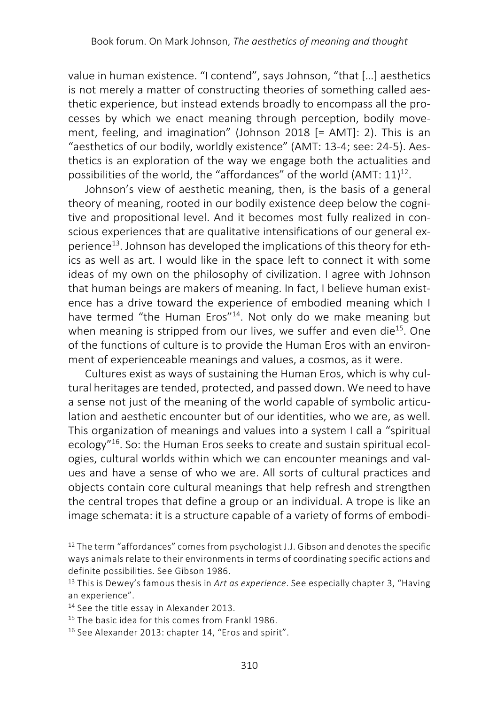value in human existence. "I contend", says Johnson, "that […] aesthetics is not merely a matter of constructing theories of something called aesthetic experience, but instead extends broadly to encompass all the processes by which we enact meaning through perception, bodily movement, feeling, and imagination" (Johnson 2018 [= AMT]: 2). This is an "aesthetics of our bodily, worldly existence" (AMT: 13-4; see: 24-5). Aesthetics is an exploration of the way we engage both the actualities and possibilities of the world, the "affordances" of the world (AMT:  $11$ )<sup>12</sup>.

Johnson's view of aesthetic meaning, then, is the basis of a general theory of meaning, rooted in our bodily existence deep below the cognitive and propositional level. And it becomes most fully realized in conscious experiences that are qualitative intensifications of our general experience<sup>13</sup>. Johnson has developed the implications of this theory for ethics as well as art. I would like in the space left to connect it with some ideas of my own on the philosophy of civilization. I agree with Johnson that human beings are makers of meaning. In fact, I believe human existence has a drive toward the experience of embodied meaning which I have termed "the Human Eros"<sup>14</sup>. Not only do we make meaning but when meaning is stripped from our lives, we suffer and even die $15$ . One of the functions of culture is to provide the Human Eros with an environment of experienceable meanings and values, a cosmos, as it were.

Cultures exist as ways of sustaining the Human Eros, which is why cultural heritages are tended, protected, and passed down. We need to have a sense not just of the meaning of the world capable of symbolic articulation and aesthetic encounter but of our identities, who we are, as well. This organization of meanings and values into a system I call a "spiritual ecology"16. So: the Human Eros seeks to create and sustain spiritual ecologies, cultural worlds within which we can encounter meanings and values and have a sense of who we are. All sorts of cultural practices and objects contain core cultural meanings that help refresh and strengthen the central tropes that define a group or an individual. A trope is like an image schemata: it is a structure capable of a variety of forms of embodi-

<sup>13</sup> This is Dewey's famous thesis in *Art as experience*. See especially chapter 3, "Having an experience".

14 See the title essay in Alexander 2013.

<sup>15</sup> The basic idea for this comes from Frankl 1986.

<sup>16</sup> See Alexander 2013: chapter 14, "Eros and spirit".

 $12$  The term "affordances" comes from psychologist J.J. Gibson and denotes the specific ways animals relate to their environments in terms of coordinating specific actions and definite possibilities. See Gibson 1986.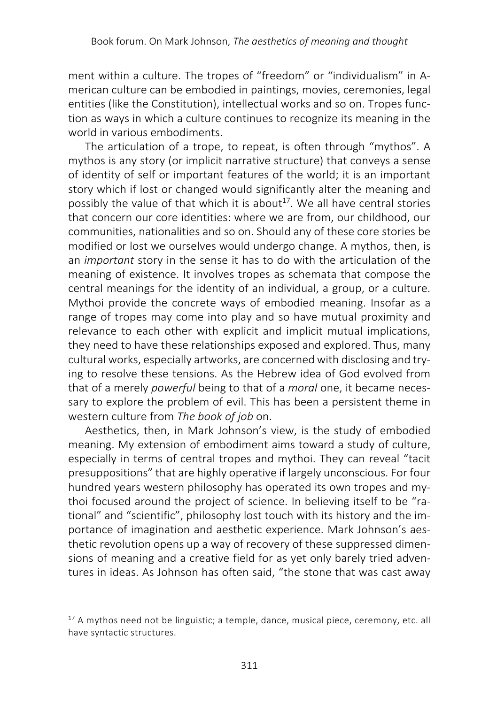ment within a culture. The tropes of "freedom" or "individualism" in American culture can be embodied in paintings, movies, ceremonies, legal entities (like the Constitution), intellectual works and so on. Tropes function as ways in which a culture continues to recognize its meaning in the world in various embodiments.

The articulation of a trope, to repeat, is often through "mythos". A mythos is any story (or implicit narrative structure) that conveys a sense of identity of self or important features of the world; it is an important story which if lost or changed would significantly alter the meaning and possibly the value of that which it is about<sup>17</sup>. We all have central stories that concern our core identities: where we are from, our childhood, our communities, nationalities and so on. Should any of these core stories be modified or lost we ourselves would undergo change. A mythos, then, is an *important* story in the sense it has to do with the articulation of the meaning of existence. It involves tropes as schemata that compose the central meanings for the identity of an individual, a group, or a culture. Mythoi provide the concrete ways of embodied meaning. Insofar as a range of tropes may come into play and so have mutual proximity and relevance to each other with explicit and implicit mutual implications, they need to have these relationships exposed and explored. Thus, many cultural works, especially artworks, are concerned with disclosing and trying to resolve these tensions. As the Hebrew idea of God evolved from that of a merely *powerful* being to that of a *moral* one, it became necessary to explore the problem of evil. This has been a persistent theme in western culture from *The book of job* on.

Aesthetics, then, in Mark Johnson's view, is the study of embodied meaning. My extension of embodiment aims toward a study of culture, especially in terms of central tropes and mythoi. They can reveal "tacit presuppositions" that are highly operative if largely unconscious. For four hundred years western philosophy has operated its own tropes and mythoi focused around the project of science. In believing itself to be "rational" and "scientific", philosophy lost touch with its history and the importance of imagination and aesthetic experience. Mark Johnson's aesthetic revolution opens up a way of recovery of these suppressed dimensions of meaning and a creative field for as yet only barely tried adventures in ideas. As Johnson has often said, "the stone that was cast away

<sup>&</sup>lt;sup>17</sup> A mythos need not be linguistic; a temple, dance, musical piece, ceremony, etc. all have syntactic structures.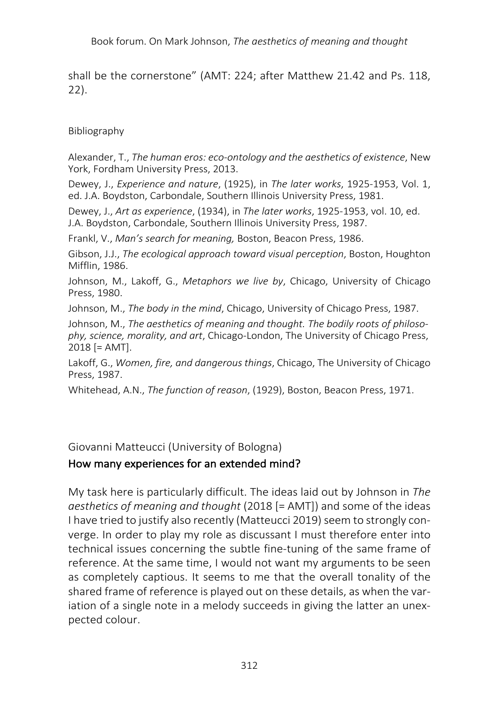shall be the cornerstone" (AMT: 224; after Matthew 21.42 and Ps. 118, 22).

Bibliography

Alexander, T., *The human eros: eco-ontology and the aesthetics of existence*, New York, Fordham University Press, 2013.

Dewey, J., *Experience and nature*, (1925), in *The later works*, 1925-1953, Vol. 1, ed. J.A. Boydston, Carbondale, Southern Illinois University Press, 1981.

Dewey, J., *Art as experience*, (1934), in *The later works*, 1925-1953, vol. 10, ed. J.A. Boydston, Carbondale, Southern Illinois University Press, 1987.

Frankl, V., *Man's search for meaning,* Boston, Beacon Press, 1986.

Gibson, J.J., *The ecological approach toward visual perception*, Boston, Houghton Mifflin, 1986.

Johnson, M., Lakoff, G., *Metaphors we live by*, Chicago, University of Chicago Press, 1980.

Johnson, M., *The body in the mind*, Chicago, University of Chicago Press, 1987.

Johnson, M., *The aesthetics of meaning and thought. The bodily roots of philosophy, science, morality, and art*, Chicago-London, The University of Chicago Press, 2018 [= AMT].

Lakoff, G., *Women, fire, and dangerous things*, Chicago, The University of Chicago Press, 1987.

Whitehead, A.N., *The function of reason*, (1929), Boston, Beacon Press, 1971.

Giovanni Matteucci (University of Bologna)

## How many experiences for an extended mind?

My task here is particularly difficult. The ideas laid out by Johnson in *The aesthetics of meaning and thought* (2018 [= AMT]) and some of the ideas I have tried to justify also recently (Matteucci 2019) seem to strongly converge. In order to play my role as discussant I must therefore enter into technical issues concerning the subtle fine-tuning of the same frame of reference. At the same time, I would not want my arguments to be seen as completely captious. It seems to me that the overall tonality of the shared frame of reference is played out on these details, as when the variation of a single note in a melody succeeds in giving the latter an unexpected colour.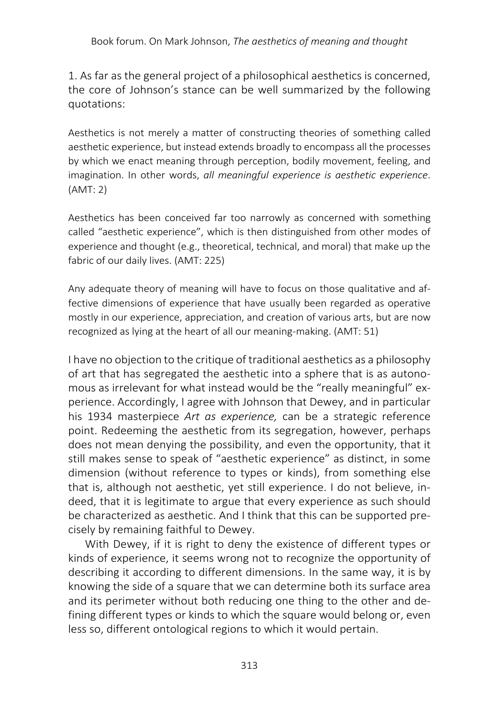1. As far as the general project of a philosophical aesthetics is concerned, the core of Johnson's stance can be well summarized by the following quotations:

Aesthetics is not merely a matter of constructing theories of something called aesthetic experience, but instead extends broadly to encompass all the processes by which we enact meaning through perception, bodily movement, feeling, and imagination. In other words, *all meaningful experience is aesthetic experience*. (AMT: 2)

Aesthetics has been conceived far too narrowly as concerned with something called "aesthetic experience", which is then distinguished from other modes of experience and thought (e.g., theoretical, technical, and moral) that make up the fabric of our daily lives. (AMT: 225)

Any adequate theory of meaning will have to focus on those qualitative and affective dimensions of experience that have usually been regarded as operative mostly in our experience, appreciation, and creation of various arts, but are now recognized as lying at the heart of all our meaning-making. (AMT: 51)

I have no objection to the critique of traditional aesthetics as a philosophy of art that has segregated the aesthetic into a sphere that is as autonomous as irrelevant for what instead would be the "really meaningful" experience. Accordingly, I agree with Johnson that Dewey, and in particular his 1934 masterpiece *Art as experience,* can be a strategic reference point. Redeeming the aesthetic from its segregation, however, perhaps does not mean denying the possibility, and even the opportunity, that it still makes sense to speak of "aesthetic experience" as distinct, in some dimension (without reference to types or kinds), from something else that is, although not aesthetic, yet still experience. I do not believe, indeed, that it is legitimate to argue that every experience as such should be characterized as aesthetic. And I think that this can be supported precisely by remaining faithful to Dewey.

With Dewey, if it is right to deny the existence of different types or kinds of experience, it seems wrong not to recognize the opportunity of describing it according to different dimensions. In the same way, it is by knowing the side of a square that we can determine both its surface area and its perimeter without both reducing one thing to the other and defining different types or kinds to which the square would belong or, even less so, different ontological regions to which it would pertain.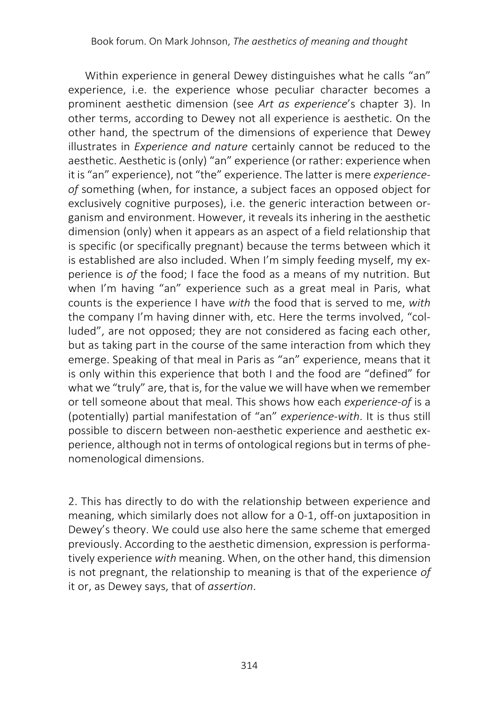Within experience in general Dewey distinguishes what he calls "an" experience, i.e. the experience whose peculiar character becomes a prominent aesthetic dimension (see *Art as experience*'s chapter 3). In other terms, according to Dewey not all experience is aesthetic. On the other hand, the spectrum of the dimensions of experience that Dewey illustrates in *Experience and nature* certainly cannot be reduced to the aesthetic. Aesthetic is (only) "an" experience (or rather: experience when it is "an" experience), not "the" experience. The latter is mere *experienceof* something (when, for instance, a subject faces an opposed object for exclusively cognitive purposes), i.e. the generic interaction between organism and environment. However, it reveals its inhering in the aesthetic dimension (only) when it appears as an aspect of a field relationship that is specific (or specifically pregnant) because the terms between which it is established are also included. When I'm simply feeding myself, my experience is *of* the food; I face the food as a means of my nutrition. But when I'm having "an" experience such as a great meal in Paris, what counts is the experience I have *with* the food that is served to me, *with* the company I'm having dinner with, etc. Here the terms involved, "colluded", are not opposed; they are not considered as facing each other, but as taking part in the course of the same interaction from which they emerge. Speaking of that meal in Paris as "an" experience, means that it is only within this experience that both I and the food are "defined" for what we "truly" are, that is, for the value we will have when we remember or tell someone about that meal. This shows how each *experience-of* is a (potentially) partial manifestation of "an" *experience-with*. It is thus still possible to discern between non-aesthetic experience and aesthetic experience, although not in terms of ontological regions but in terms of phenomenological dimensions.

2. This has directly to do with the relationship between experience and meaning, which similarly does not allow for a 0-1, off-on juxtaposition in Dewey's theory. We could use also here the same scheme that emerged previously. According to the aesthetic dimension, expression is performatively experience *with* meaning. When, on the other hand, this dimension is not pregnant, the relationship to meaning is that of the experience *of* it or, as Dewey says, that of *assertion*.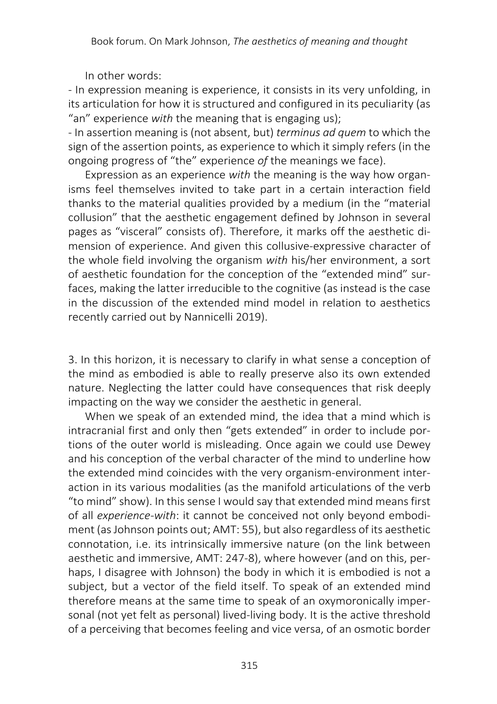In other words:

- In expression meaning is experience, it consists in its very unfolding, in its articulation for how it is structured and configured in its peculiarity (as "an" experience *with* the meaning that is engaging us);

- In assertion meaning is (not absent, but) *terminus ad quem* to which the sign of the assertion points, as experience to which it simply refers (in the ongoing progress of "the" experience *of* the meanings we face).

Expression as an experience *with* the meaning is the way how organisms feel themselves invited to take part in a certain interaction field thanks to the material qualities provided by a medium (in the "material collusion" that the aesthetic engagement defined by Johnson in several pages as "visceral" consists of). Therefore, it marks off the aesthetic dimension of experience. And given this collusive-expressive character of the whole field involving the organism *with* his/her environment, a sort of aesthetic foundation for the conception of the "extended mind" surfaces, making the latter irreducible to the cognitive (as instead is the case in the discussion of the extended mind model in relation to aesthetics recently carried out by Nannicelli 2019).

3. In this horizon, it is necessary to clarify in what sense a conception of the mind as embodied is able to really preserve also its own extended nature. Neglecting the latter could have consequences that risk deeply impacting on the way we consider the aesthetic in general.

When we speak of an extended mind, the idea that a mind which is intracranial first and only then "gets extended" in order to include portions of the outer world is misleading. Once again we could use Dewey and his conception of the verbal character of the mind to underline how the extended mind coincides with the very organism-environment interaction in its various modalities (as the manifold articulations of the verb "to mind" show). In this sense I would say that extended mind means first of all *experience-with*: it cannot be conceived not only beyond embodiment (as Johnson points out; AMT: 55), but also regardless of its aesthetic connotation, i.e. its intrinsically immersive nature (on the link between aesthetic and immersive, AMT: 247-8), where however (and on this, perhaps, I disagree with Johnson) the body in which it is embodied is not a subject, but a vector of the field itself. To speak of an extended mind therefore means at the same time to speak of an oxymoronically impersonal (not yet felt as personal) lived-living body. It is the active threshold of a perceiving that becomes feeling and vice versa, of an osmotic border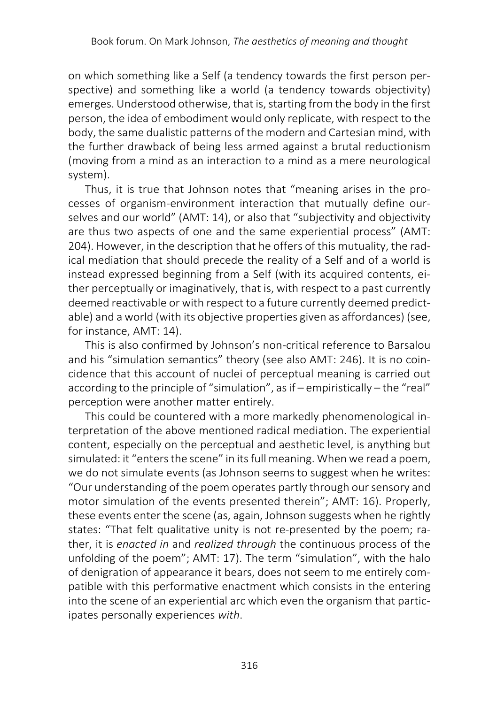on which something like a Self (a tendency towards the first person perspective) and something like a world (a tendency towards objectivity) emerges. Understood otherwise, that is, starting from the body in the first person, the idea of embodiment would only replicate, with respect to the body, the same dualistic patterns of the modern and Cartesian mind, with the further drawback of being less armed against a brutal reductionism (moving from a mind as an interaction to a mind as a mere neurological system).

Thus, it is true that Johnson notes that "meaning arises in the processes of organism-environment interaction that mutually define ourselves and our world" (AMT: 14), or also that "subjectivity and objectivity are thus two aspects of one and the same experiential process" (AMT: 204). However, in the description that he offers of this mutuality, the radical mediation that should precede the reality of a Self and of a world is instead expressed beginning from a Self (with its acquired contents, either perceptually or imaginatively, that is, with respect to a past currently deemed reactivable or with respect to a future currently deemed predictable) and a world (with its objective properties given as affordances) (see, for instance, AMT: 14).

This is also confirmed by Johnson's non-critical reference to Barsalou and his "simulation semantics" theory (see also AMT: 246). It is no coincidence that this account of nuclei of perceptual meaning is carried out according to the principle of "simulation", as if – empiristically – the "real" perception were another matter entirely.

This could be countered with a more markedly phenomenological interpretation of the above mentioned radical mediation. The experiential content, especially on the perceptual and aesthetic level, is anything but simulated: it "enters the scene" in its full meaning. When we read a poem, we do not simulate events (as Johnson seems to suggest when he writes: "Our understanding of the poem operates partly through our sensory and motor simulation of the events presented therein"; AMT: 16). Properly, these events enter the scene (as, again, Johnson suggests when he rightly states: "That felt qualitative unity is not re-presented by the poem; rather, it is *enacted in* and *realized through* the continuous process of the unfolding of the poem"; AMT: 17). The term "simulation", with the halo of denigration of appearance it bears, does not seem to me entirely compatible with this performative enactment which consists in the entering into the scene of an experiential arc which even the organism that participates personally experiences *with*.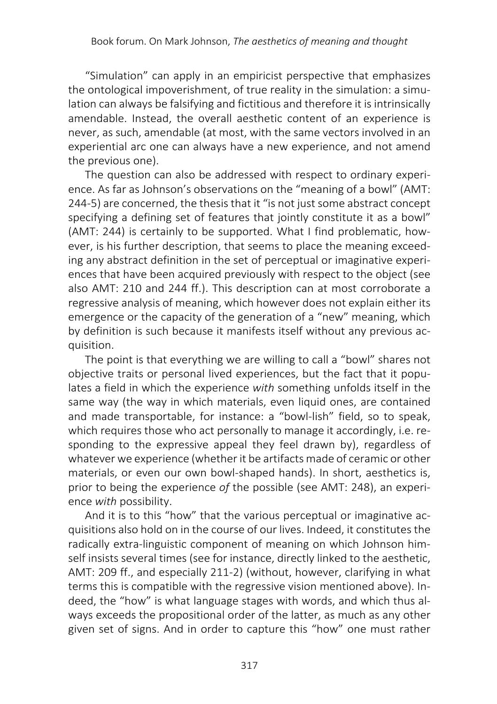"Simulation" can apply in an empiricist perspective that emphasizes the ontological impoverishment, of true reality in the simulation: a simulation can always be falsifying and fictitious and therefore it is intrinsically amendable. Instead, the overall aesthetic content of an experience is never, as such, amendable (at most, with the same vectors involved in an experiential arc one can always have a new experience, and not amend the previous one).

The question can also be addressed with respect to ordinary experience. As far as Johnson's observations on the "meaning of a bowl" (AMT: 244-5) are concerned, the thesis that it "is not just some abstract concept specifying a defining set of features that jointly constitute it as a bowl" (AMT: 244) is certainly to be supported. What I find problematic, however, is his further description, that seems to place the meaning exceeding any abstract definition in the set of perceptual or imaginative experiences that have been acquired previously with respect to the object (see also AMT: 210 and 244 ff.). This description can at most corroborate a regressive analysis of meaning, which however does not explain either its emergence or the capacity of the generation of a "new" meaning, which by definition is such because it manifests itself without any previous acquisition.

The point is that everything we are willing to call a "bowl" shares not objective traits or personal lived experiences, but the fact that it populates a field in which the experience *with* something unfolds itself in the same way (the way in which materials, even liquid ones, are contained and made transportable, for instance: a "bowl-lish" field, so to speak, which requires those who act personally to manage it accordingly, i.e. responding to the expressive appeal they feel drawn by), regardless of whatever we experience (whether it be artifacts made of ceramic or other materials, or even our own bowl-shaped hands). In short, aesthetics is, prior to being the experience *of* the possible (see AMT: 248), an experience *with* possibility.

And it is to this "how" that the various perceptual or imaginative acquisitions also hold on in the course of our lives. Indeed, it constitutes the radically extra-linguistic component of meaning on which Johnson himself insists several times (see for instance, directly linked to the aesthetic, AMT: 209 ff., and especially 211-2) (without, however, clarifying in what terms this is compatible with the regressive vision mentioned above). Indeed, the "how" is what language stages with words, and which thus always exceeds the propositional order of the latter, as much as any other given set of signs. And in order to capture this "how" one must rather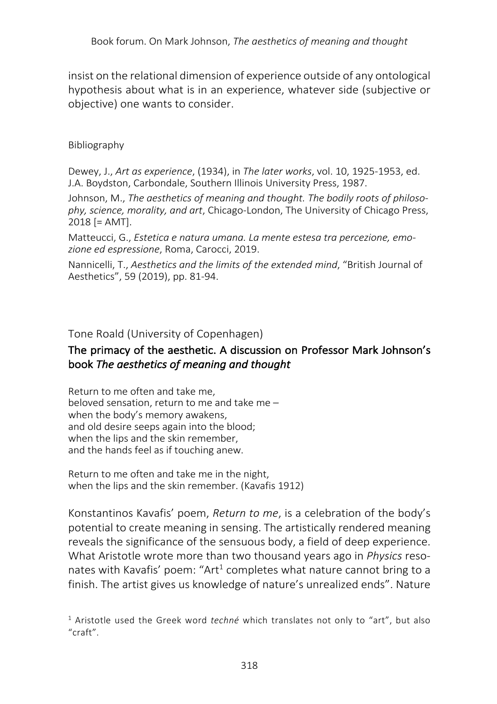insist on the relational dimension of experience outside of any ontological hypothesis about what is in an experience, whatever side (subjective or objective) one wants to consider.

#### Bibliography

Dewey, J., *Art as experience*, (1934), in *The later works*, vol. 10, 1925-1953, ed. J.A. Boydston, Carbondale, Southern Illinois University Press, 1987.

Johnson, M., *The aesthetics of meaning and thought. The bodily roots of philosophy, science, morality, and art*, Chicago-London, The University of Chicago Press, 2018 [= AMT].

Matteucci, G., *Estetica e natura umana. La mente estesa tra percezione, emozione ed espressione*, Roma, Carocci, 2019.

Nannicelli, T., *Aesthetics and the limits of the extended mind*, "British Journal of Aesthetics", 59 (2019), pp. 81-94.

Tone Roald (University of Copenhagen)

### The primacy of the aesthetic. A discussion on Professor Mark Johnson's book *The aesthetics of meaning and thought*

Return to me often and take me, beloved sensation, return to me and take me – when the body's memory awakens, and old desire seeps again into the blood; when the lips and the skin remember, and the hands feel as if touching anew.

Return to me often and take me in the night, when the lips and the skin remember. (Kavafis 1912)

Konstantinos Kavafis' poem, *Return to me*, is a celebration of the body's potential to create meaning in sensing. The artistically rendered meaning reveals the significance of the sensuous body, a field of deep experience. What Aristotle wrote more than two thousand years ago in *Physics* resonates with Kavafis' poem: "Art<sup>1</sup> completes what nature cannot bring to a finish. The artist gives us knowledge of nature's unrealized ends". Nature

<sup>1</sup> Aristotle used the Greek word *techné* which translates not only to "art", but also "craft".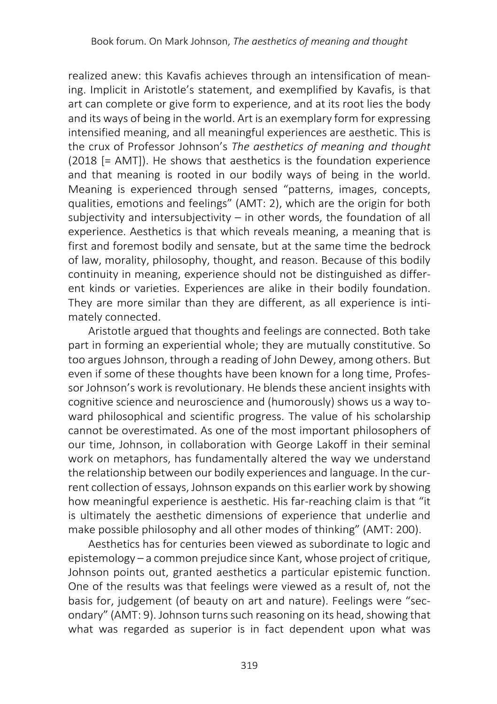realized anew: this Kavafis achieves through an intensification of meaning. Implicit in Aristotle's statement, and exemplified by Kavafis, is that art can complete or give form to experience, and at its root lies the body and its ways of being in the world. Art is an exemplary form for expressing intensified meaning, and all meaningful experiences are aesthetic. This is the crux of Professor Johnson's *The aesthetics of meaning and thought*  (2018 [= AMT]). He shows that aesthetics is the foundation experience and that meaning is rooted in our bodily ways of being in the world. Meaning is experienced through sensed "patterns, images, concepts, qualities, emotions and feelings" (AMT: 2), which are the origin for both subjectivity and intersubjectivity – in other words, the foundation of all experience. Aesthetics is that which reveals meaning, a meaning that is first and foremost bodily and sensate, but at the same time the bedrock of law, morality, philosophy, thought, and reason. Because of this bodily continuity in meaning, experience should not be distinguished as different kinds or varieties. Experiences are alike in their bodily foundation. They are more similar than they are different, as all experience is intimately connected.

Aristotle argued that thoughts and feelings are connected. Both take part in forming an experiential whole; they are mutually constitutive. So too argues Johnson, through a reading of John Dewey, among others. But even if some of these thoughts have been known for a long time, Professor Johnson's work is revolutionary. He blends these ancient insights with cognitive science and neuroscience and (humorously) shows us a way toward philosophical and scientific progress. The value of his scholarship cannot be overestimated. As one of the most important philosophers of our time, Johnson, in collaboration with George Lakoff in their seminal work on metaphors, has fundamentally altered the way we understand the relationship between our bodily experiences and language. In the current collection of essays, Johnson expands on this earlier work by showing how meaningful experience is aesthetic. His far-reaching claim is that "it is ultimately the aesthetic dimensions of experience that underlie and make possible philosophy and all other modes of thinking" (AMT: 200).

Aesthetics has for centuries been viewed as subordinate to logic and epistemology – a common prejudice since Kant, whose project of critique, Johnson points out, granted aesthetics a particular epistemic function. One of the results was that feelings were viewed as a result of, not the basis for, judgement (of beauty on art and nature). Feelings were "secondary" (AMT: 9). Johnson turns such reasoning on its head, showing that what was regarded as superior is in fact dependent upon what was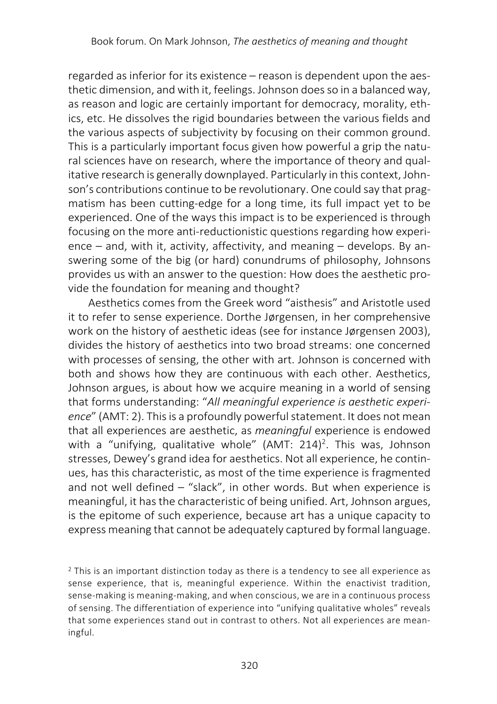regarded as inferior for its existence – reason is dependent upon the aesthetic dimension, and with it, feelings. Johnson does so in a balanced way, as reason and logic are certainly important for democracy, morality, ethics, etc. He dissolves the rigid boundaries between the various fields and the various aspects of subjectivity by focusing on their common ground. This is a particularly important focus given how powerful a grip the natural sciences have on research, where the importance of theory and qualitative research is generally downplayed. Particularly in this context, Johnson's contributions continue to be revolutionary. One could say that pragmatism has been cutting-edge for a long time, its full impact yet to be experienced. One of the ways this impact is to be experienced is through focusing on the more anti-reductionistic questions regarding how experience – and, with it, activity, affectivity, and meaning – develops. By answering some of the big (or hard) conundrums of philosophy, Johnsons provides us with an answer to the question: How does the aesthetic provide the foundation for meaning and thought?

Aesthetics comes from the Greek word "aisthesis" and Aristotle used it to refer to sense experience. Dorthe Jørgensen, in her comprehensive work on the history of aesthetic ideas (see for instance Jørgensen 2003), divides the history of aesthetics into two broad streams: one concerned with processes of sensing, the other with art. Johnson is concerned with both and shows how they are continuous with each other. Aesthetics, Johnson argues, is about how we acquire meaning in a world of sensing that forms understanding: "*All meaningful experience is aesthetic experience*" (AMT: 2). This is a profoundly powerful statement. It does not mean that all experiences are aesthetic, as *meaningful* experience is endowed with a "unifying, qualitative whole" (AMT:  $214)^2$ . This was, Johnson stresses, Dewey's grand idea for aesthetics. Not all experience, he continues, has this characteristic, as most of the time experience is fragmented and not well defined – "slack", in other words. But when experience is meaningful, it has the characteristic of being unified. Art, Johnson argues, is the epitome of such experience, because art has a unique capacity to express meaning that cannot be adequately captured by formal language.

<sup>&</sup>lt;sup>2</sup> This is an important distinction today as there is a tendency to see all experience as sense experience, that is, meaningful experience. Within the enactivist tradition, sense-making is meaning-making, and when conscious, we are in a continuous process of sensing. The differentiation of experience into "unifying qualitative wholes" reveals that some experiences stand out in contrast to others. Not all experiences are meaningful.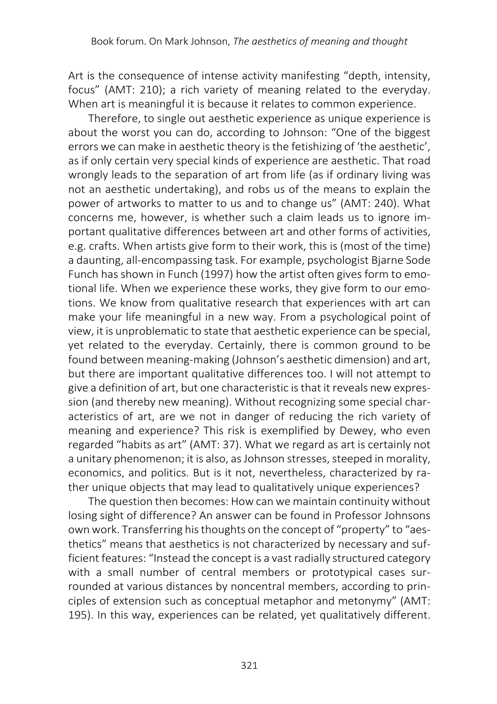Art is the consequence of intense activity manifesting "depth, intensity, focus" (AMT: 210); a rich variety of meaning related to the everyday. When art is meaningful it is because it relates to common experience.

Therefore, to single out aesthetic experience as unique experience is about the worst you can do, according to Johnson: "One of the biggest errors we can make in aesthetic theory is the fetishizing of 'the aesthetic', as if only certain very special kinds of experience are aesthetic. That road wrongly leads to the separation of art from life (as if ordinary living was not an aesthetic undertaking), and robs us of the means to explain the power of artworks to matter to us and to change us" (AMT: 240). What concerns me, however, is whether such a claim leads us to ignore important qualitative differences between art and other forms of activities, e.g. crafts. When artists give form to their work, this is (most of the time) a daunting, all-encompassing task. For example, psychologist Bjarne Sode Funch has shown in Funch (1997) how the artist often gives form to emotional life. When we experience these works, they give form to our emotions. We know from qualitative research that experiences with art can make your life meaningful in a new way. From a psychological point of view, it is unproblematic to state that aesthetic experience can be special, yet related to the everyday. Certainly, there is common ground to be found between meaning-making (Johnson's aesthetic dimension) and art, but there are important qualitative differences too. I will not attempt to give a definition of art, but one characteristic is that it reveals new expression (and thereby new meaning). Without recognizing some special characteristics of art, are we not in danger of reducing the rich variety of meaning and experience? This risk is exemplified by Dewey, who even regarded "habits as art" (AMT: 37). What we regard as art is certainly not a unitary phenomenon; it is also, as Johnson stresses, steeped in morality, economics, and politics. But is it not, nevertheless, characterized by rather unique objects that may lead to qualitatively unique experiences?

The question then becomes: How can we maintain continuity without losing sight of difference? An answer can be found in Professor Johnsons own work. Transferring his thoughts on the concept of "property" to "aesthetics" means that aesthetics is not characterized by necessary and sufficient features: "Instead the concept is a vast radially structured category with a small number of central members or prototypical cases surrounded at various distances by noncentral members, according to principles of extension such as conceptual metaphor and metonymy" (AMT: 195). In this way, experiences can be related, yet qualitatively different.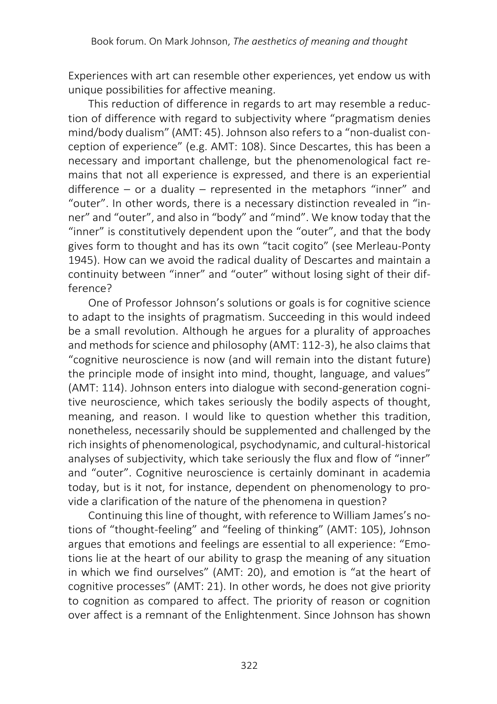Experiences with art can resemble other experiences, yet endow us with unique possibilities for affective meaning.

This reduction of difference in regards to art may resemble a reduction of difference with regard to subjectivity where "pragmatism denies mind/body dualism" (AMT: 45). Johnson also refers to a "non-dualist conception of experience" (e.g. AMT: 108). Since Descartes, this has been a necessary and important challenge, but the phenomenological fact remains that not all experience is expressed, and there is an experiential difference – or a duality – represented in the metaphors "inner" and "outer". In other words, there is a necessary distinction revealed in "inner" and "outer", and also in "body" and "mind". We know today that the "inner" is constitutively dependent upon the "outer", and that the body gives form to thought and has its own "tacit cogito" (see Merleau-Ponty 1945). How can we avoid the radical duality of Descartes and maintain a continuity between "inner" and "outer" without losing sight of their difference?

One of Professor Johnson's solutions or goals is for cognitive science to adapt to the insights of pragmatism. Succeeding in this would indeed be a small revolution. Although he argues for a plurality of approaches and methods for science and philosophy (AMT: 112-3), he also claims that "cognitive neuroscience is now (and will remain into the distant future) the principle mode of insight into mind, thought, language, and values" (AMT: 114). Johnson enters into dialogue with second-generation cognitive neuroscience, which takes seriously the bodily aspects of thought, meaning, and reason. I would like to question whether this tradition, nonetheless, necessarily should be supplemented and challenged by the rich insights of phenomenological, psychodynamic, and cultural-historical analyses of subjectivity, which take seriously the flux and flow of "inner" and "outer". Cognitive neuroscience is certainly dominant in academia today, but is it not, for instance, dependent on phenomenology to provide a clarification of the nature of the phenomena in question?

Continuing this line of thought, with reference to William James's notions of "thought-feeling" and "feeling of thinking" (AMT: 105), Johnson argues that emotions and feelings are essential to all experience: "Emotions lie at the heart of our ability to grasp the meaning of any situation in which we find ourselves" (AMT: 20), and emotion is "at the heart of cognitive processes" (AMT: 21). In other words, he does not give priority to cognition as compared to affect. The priority of reason or cognition over affect is a remnant of the Enlightenment. Since Johnson has shown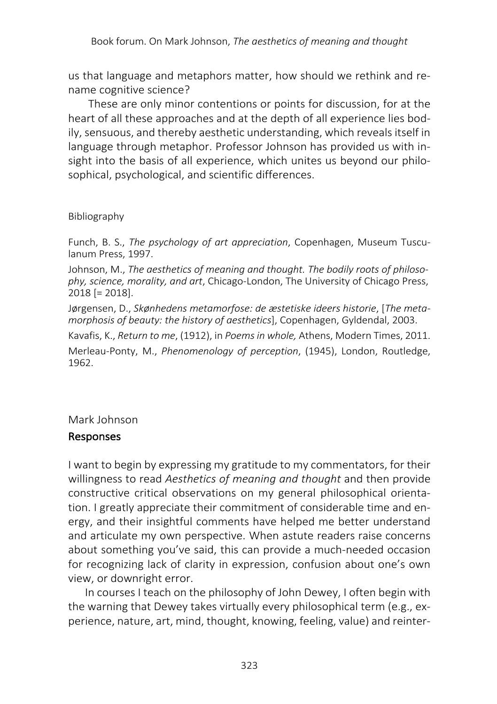us that language and metaphors matter, how should we rethink and rename cognitive science?

These are only minor contentions or points for discussion, for at the heart of all these approaches and at the depth of all experience lies bodily, sensuous, and thereby aesthetic understanding, which reveals itself in language through metaphor. Professor Johnson has provided us with insight into the basis of all experience, which unites us beyond our philosophical, psychological, and scientific differences.

### Bibliography

Funch, B. S., *The psychology of art appreciation*, Copenhagen, Museum Tusculanum Press, 1997.

Johnson, M., *The aesthetics of meaning and thought. The bodily roots of philosophy, science, morality, and art*, Chicago-London, The University of Chicago Press, 2018 [= 2018].

Jørgensen, D., *Skønhedens metamorfose: de æstetiske ideers historie*, [*The metamorphosis of beauty: the history of aesthetics*], Copenhagen, Gyldendal, 2003.

Kavafis, K., *Return to me*, (1912), in *Poems in whole,* Athens, Modern Times, 2011.

Merleau-Ponty, M., *Phenomenology of perception*, (1945), London, Routledge, 1962.

## Mark Johnson

## Responses

I want to begin by expressing my gratitude to my commentators, for their willingness to read *Aesthetics of meaning and thought* and then provide constructive critical observations on my general philosophical orientation. I greatly appreciate their commitment of considerable time and energy, and their insightful comments have helped me better understand and articulate my own perspective. When astute readers raise concerns about something you've said, this can provide a much-needed occasion for recognizing lack of clarity in expression, confusion about one's own view, or downright error.

In courses I teach on the philosophy of John Dewey, I often begin with the warning that Dewey takes virtually every philosophical term (e.g., experience, nature, art, mind, thought, knowing, feeling, value) and reinter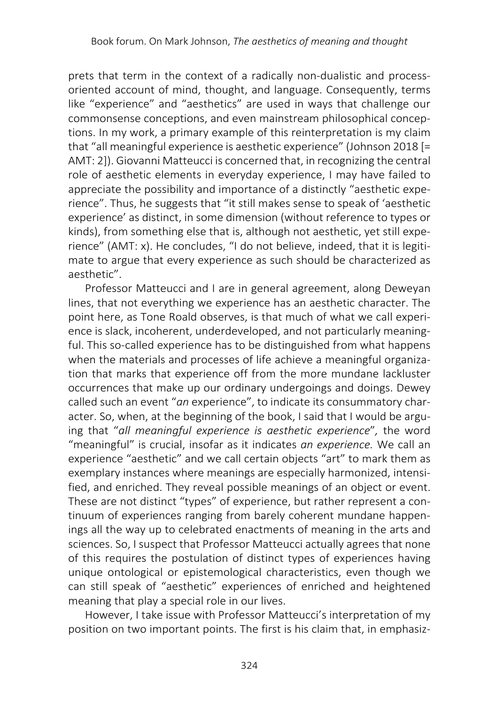prets that term in the context of a radically non-dualistic and processoriented account of mind, thought, and language. Consequently, terms like "experience" and "aesthetics" are used in ways that challenge our commonsense conceptions, and even mainstream philosophical conceptions. In my work, a primary example of this reinterpretation is my claim that "all meaningful experience is aesthetic experience" (Johnson 2018 [= AMT: 2]). Giovanni Matteucci is concerned that, in recognizing the central role of aesthetic elements in everyday experience, I may have failed to appreciate the possibility and importance of a distinctly "aesthetic experience". Thus, he suggests that "it still makes sense to speak of 'aesthetic experience' as distinct, in some dimension (without reference to types or kinds), from something else that is, although not aesthetic, yet still experience" (AMT: x). He concludes, "I do not believe, indeed, that it is legitimate to argue that every experience as such should be characterized as aesthetic".

Professor Matteucci and I are in general agreement, along Deweyan lines, that not everything we experience has an aesthetic character. The point here, as Tone Roald observes, is that much of what we call experience is slack, incoherent, underdeveloped, and not particularly meaningful. This so-called experience has to be distinguished from what happens when the materials and processes of life achieve a meaningful organization that marks that experience off from the more mundane lackluster occurrences that make up our ordinary undergoings and doings. Dewey called such an event "*an* experience", to indicate its consummatory character. So, when, at the beginning of the book, I said that I would be arguing that "*all meaningful experience is aesthetic experience*"*,* the word "meaningful" is crucial, insofar as it indicates *an experience.* We call an experience "aesthetic" and we call certain objects "art" to mark them as exemplary instances where meanings are especially harmonized, intensified, and enriched. They reveal possible meanings of an object or event. These are not distinct "types" of experience, but rather represent a continuum of experiences ranging from barely coherent mundane happenings all the way up to celebrated enactments of meaning in the arts and sciences. So, I suspect that Professor Matteucci actually agrees that none of this requires the postulation of distinct types of experiences having unique ontological or epistemological characteristics, even though we can still speak of "aesthetic" experiences of enriched and heightened meaning that play a special role in our lives.

However, I take issue with Professor Matteucci's interpretation of my position on two important points. The first is his claim that, in emphasiz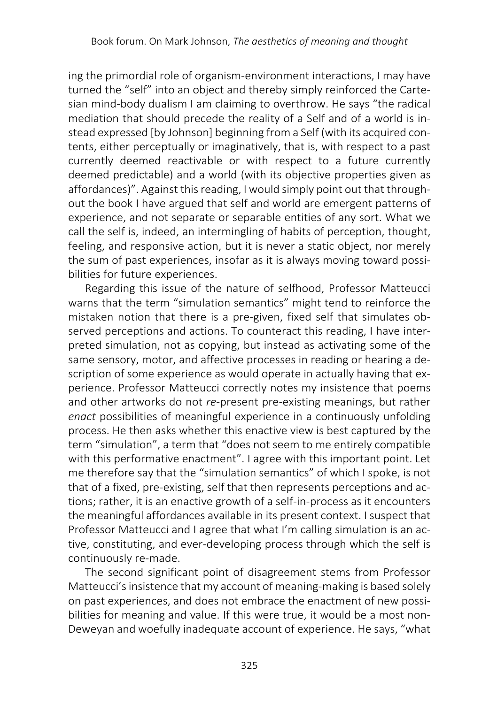ing the primordial role of organism-environment interactions, I may have turned the "self" into an object and thereby simply reinforced the Cartesian mind-body dualism I am claiming to overthrow. He says "the radical mediation that should precede the reality of a Self and of a world is instead expressed [by Johnson] beginning from a Self (with its acquired contents, either perceptually or imaginatively, that is, with respect to a past currently deemed reactivable or with respect to a future currently deemed predictable) and a world (with its objective properties given as affordances)". Against this reading, I would simply point out that throughout the book I have argued that self and world are emergent patterns of experience, and not separate or separable entities of any sort. What we call the self is, indeed, an intermingling of habits of perception, thought, feeling, and responsive action, but it is never a static object, nor merely the sum of past experiences, insofar as it is always moving toward possibilities for future experiences.

Regarding this issue of the nature of selfhood, Professor Matteucci warns that the term "simulation semantics" might tend to reinforce the mistaken notion that there is a pre-given, fixed self that simulates observed perceptions and actions. To counteract this reading, I have interpreted simulation, not as copying, but instead as activating some of the same sensory, motor, and affective processes in reading or hearing a description of some experience as would operate in actually having that experience. Professor Matteucci correctly notes my insistence that poems and other artworks do not *re-*present pre-existing meanings, but rather *enact* possibilities of meaningful experience in a continuously unfolding process. He then asks whether this enactive view is best captured by the term "simulation", a term that "does not seem to me entirely compatible with this performative enactment". I agree with this important point. Let me therefore say that the "simulation semantics" of which I spoke, is not that of a fixed, pre-existing, self that then represents perceptions and actions; rather, it is an enactive growth of a self-in-process as it encounters the meaningful affordances available in its present context. I suspect that Professor Matteucci and I agree that what I'm calling simulation is an active, constituting, and ever-developing process through which the self is continuously re-made.

The second significant point of disagreement stems from Professor Matteucci's insistence that my account of meaning-making is based solely on past experiences, and does not embrace the enactment of new possibilities for meaning and value. If this were true, it would be a most non-Deweyan and woefully inadequate account of experience. He says, "what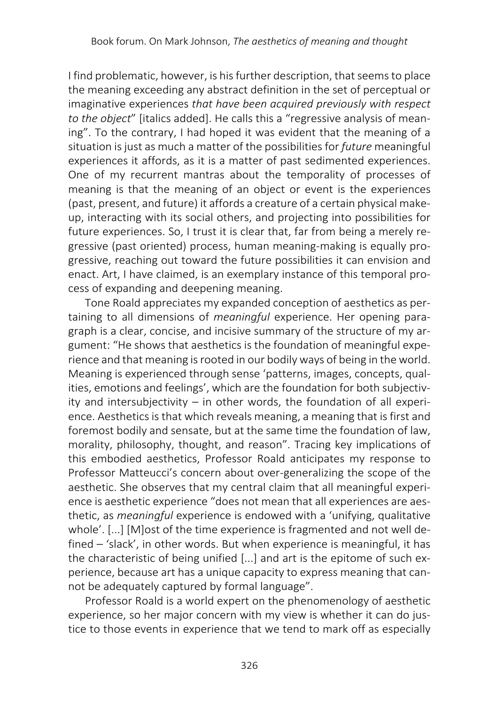I find problematic, however, is his further description, that seems to place the meaning exceeding any abstract definition in the set of perceptual or imaginative experiences *that have been acquired previously with respect to the object*" [italics added]. He calls this a "regressive analysis of meaning". To the contrary, I had hoped it was evident that the meaning of a situation is just as much a matter of the possibilities for *future* meaningful experiences it affords, as it is a matter of past sedimented experiences. One of my recurrent mantras about the temporality of processes of meaning is that the meaning of an object or event is the experiences (past, present, and future) it affords a creature of a certain physical makeup, interacting with its social others, and projecting into possibilities for future experiences. So, I trust it is clear that, far from being a merely regressive (past oriented) process, human meaning-making is equally progressive, reaching out toward the future possibilities it can envision and enact. Art, I have claimed, is an exemplary instance of this temporal process of expanding and deepening meaning.

Tone Roald appreciates my expanded conception of aesthetics as pertaining to all dimensions of *meaningful* experience. Her opening paragraph is a clear, concise, and incisive summary of the structure of my argument: "He shows that aesthetics is the foundation of meaningful experience and that meaning is rooted in our bodily ways of being in the world. Meaning is experienced through sense 'patterns, images, concepts, qualities, emotions and feelings', which are the foundation for both subjectivity and intersubjectivity – in other words, the foundation of all experience. Aesthetics is that which reveals meaning, a meaning that is first and foremost bodily and sensate, but at the same time the foundation of law, morality, philosophy, thought, and reason". Tracing key implications of this embodied aesthetics, Professor Roald anticipates my response to Professor Matteucci's concern about over-generalizing the scope of the aesthetic. She observes that my central claim that all meaningful experience is aesthetic experience "does not mean that all experiences are aesthetic, as *meaningful* experience is endowed with a 'unifying, qualitative whole'. [...] [M]ost of the time experience is fragmented and not well defined – 'slack', in other words. But when experience is meaningful, it has the characteristic of being unified [...] and art is the epitome of such experience, because art has a unique capacity to express meaning that cannot be adequately captured by formal language".

Professor Roald is a world expert on the phenomenology of aesthetic experience, so her major concern with my view is whether it can do justice to those events in experience that we tend to mark off as especially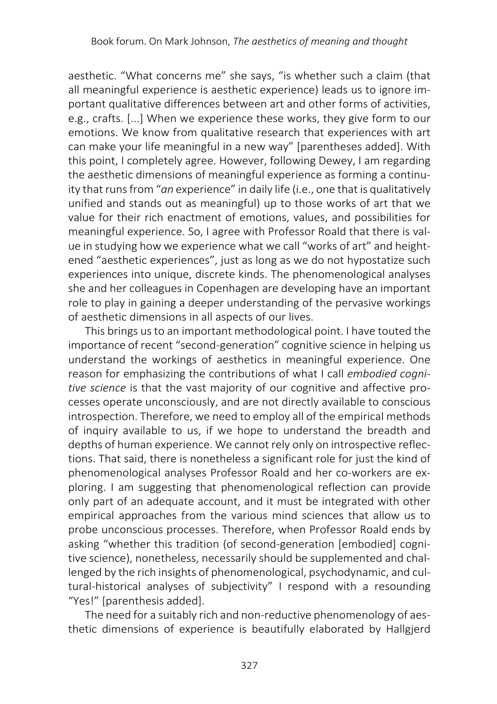aesthetic. "What concerns me" she says, "is whether such a claim (that all meaningful experience is aesthetic experience) leads us to ignore important qualitative differences between art and other forms of activities, e.g., crafts. [...] When we experience these works, they give form to our emotions. We know from qualitative research that experiences with art can make your life meaningful in a new way" [parentheses added]. With this point, I completely agree. However, following Dewey, I am regarding the aesthetic dimensions of meaningful experience as forming a continuity that runs from "*an* experience" in daily life (i.e., one that is qualitatively unified and stands out as meaningful) up to those works of art that we value for their rich enactment of emotions, values, and possibilities for meaningful experience. So, I agree with Professor Roald that there is value in studying how we experience what we call "works of art" and heightened "aesthetic experiences", just as long as we do not hypostatize such experiences into unique, discrete kinds. The phenomenological analyses she and her colleagues in Copenhagen are developing have an important role to play in gaining a deeper understanding of the pervasive workings of aesthetic dimensions in all aspects of our lives.

This brings us to an important methodological point. I have touted the importance of recent "second-generation" cognitive science in helping us understand the workings of aesthetics in meaningful experience. One reason for emphasizing the contributions of what I call *embodied cognitive science* is that the vast majority of our cognitive and affective processes operate unconsciously, and are not directly available to conscious introspection. Therefore, we need to employ all of the empirical methods of inquiry available to us, if we hope to understand the breadth and depths of human experience. We cannot rely only on introspective reflections. That said, there is nonetheless a significant role for just the kind of phenomenological analyses Professor Roald and her co-workers are exploring. I am suggesting that phenomenological reflection can provide only part of an adequate account, and it must be integrated with other empirical approaches from the various mind sciences that allow us to probe unconscious processes. Therefore, when Professor Roald ends by asking "whether this tradition (of second-generation [embodied] cognitive science), nonetheless, necessarily should be supplemented and challenged by the rich insights of phenomenological, psychodynamic, and cultural-historical analyses of subjectivity" I respond with a resounding "Yes!" [parenthesis added].

The need for a suitably rich and non-reductive phenomenology of aesthetic dimensions of experience is beautifully elaborated by Hallgjerd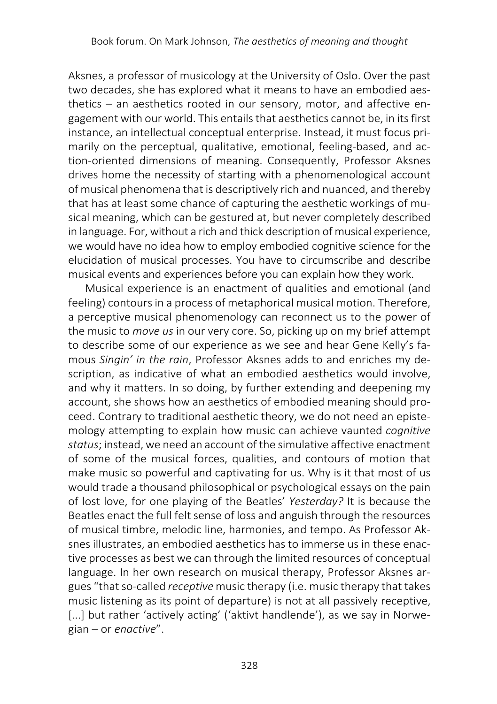Aksnes, a professor of musicology at the University of Oslo. Over the past two decades, she has explored what it means to have an embodied aesthetics – an aesthetics rooted in our sensory, motor, and affective engagement with our world. This entails that aesthetics cannot be, in its first instance, an intellectual conceptual enterprise. Instead, it must focus primarily on the perceptual, qualitative, emotional, feeling-based, and action-oriented dimensions of meaning. Consequently, Professor Aksnes drives home the necessity of starting with a phenomenological account of musical phenomena that is descriptively rich and nuanced, and thereby that has at least some chance of capturing the aesthetic workings of musical meaning, which can be gestured at, but never completely described in language. For, without a rich and thick description of musical experience, we would have no idea how to employ embodied cognitive science for the elucidation of musical processes. You have to circumscribe and describe musical events and experiences before you can explain how they work.

Musical experience is an enactment of qualities and emotional (and feeling) contours in a process of metaphorical musical motion. Therefore, a perceptive musical phenomenology can reconnect us to the power of the music to *move us* in our very core. So, picking up on my brief attempt to describe some of our experience as we see and hear Gene Kelly's famous *Singin' in the rain*, Professor Aksnes adds to and enriches my description, as indicative of what an embodied aesthetics would involve, and why it matters. In so doing, by further extending and deepening my account, she shows how an aesthetics of embodied meaning should proceed. Contrary to traditional aesthetic theory, we do not need an epistemology attempting to explain how music can achieve vaunted *cognitive status*; instead, we need an account of the simulative affective enactment of some of the musical forces, qualities, and contours of motion that make music so powerful and captivating for us. Why is it that most of us would trade a thousand philosophical or psychological essays on the pain of lost love, for one playing of the Beatles' *Yesterday?* It is because the Beatles enact the full felt sense of loss and anguish through the resources of musical timbre, melodic line, harmonies, and tempo. As Professor Aksnes illustrates, an embodied aesthetics has to immerse us in these enactive processes as best we can through the limited resources of conceptual language. In her own research on musical therapy, Professor Aksnes argues "that so-called *receptive* music therapy (i.e. music therapy that takes music listening as its point of departure) is not at all passively receptive, [...] but rather 'actively acting' ('aktivt handlende'), as we say in Norwegian – or *enactive*".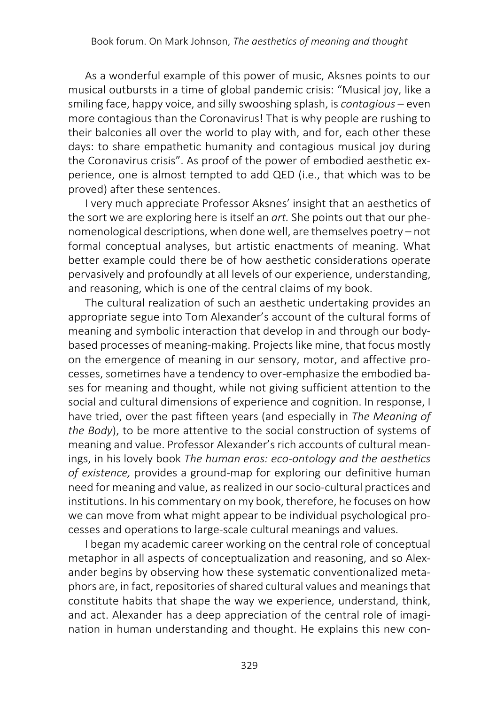As a wonderful example of this power of music, Aksnes points to our musical outbursts in a time of global pandemic crisis: "Musical joy, like a smiling face, happy voice, and silly swooshing splash, is *contagious* – even more contagious than the Coronavirus! That is why people are rushing to their balconies all over the world to play with, and for, each other these days: to share empathetic humanity and contagious musical joy during the Coronavirus crisis". As proof of the power of embodied aesthetic experience, one is almost tempted to add QED (i.e., that which was to be proved) after these sentences.

I very much appreciate Professor Aksnes' insight that an aesthetics of the sort we are exploring here is itself an *art.* She points out that our phenomenological descriptions, when done well, are themselves poetry – not formal conceptual analyses, but artistic enactments of meaning. What better example could there be of how aesthetic considerations operate pervasively and profoundly at all levels of our experience, understanding, and reasoning, which is one of the central claims of my book.

The cultural realization of such an aesthetic undertaking provides an appropriate segue into Tom Alexander's account of the cultural forms of meaning and symbolic interaction that develop in and through our bodybased processes of meaning-making. Projects like mine, that focus mostly on the emergence of meaning in our sensory, motor, and affective processes, sometimes have a tendency to over-emphasize the embodied bases for meaning and thought, while not giving sufficient attention to the social and cultural dimensions of experience and cognition. In response, I have tried, over the past fifteen years (and especially in *The Meaning of the Body*), to be more attentive to the social construction of systems of meaning and value. Professor Alexander's rich accounts of cultural meanings, in his lovely book *The human eros: eco-ontology and the aesthetics of existence,* provides a ground-map for exploring our definitive human need for meaning and value, as realized in our socio-cultural practices and institutions. In his commentary on my book, therefore, he focuses on how we can move from what might appear to be individual psychological processes and operations to large-scale cultural meanings and values.

I began my academic career working on the central role of conceptual metaphor in all aspects of conceptualization and reasoning, and so Alexander begins by observing how these systematic conventionalized metaphors are, in fact, repositories of shared cultural values and meanings that constitute habits that shape the way we experience, understand, think, and act. Alexander has a deep appreciation of the central role of imagination in human understanding and thought. He explains this new con